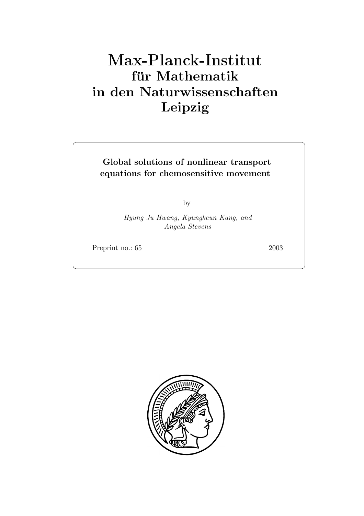# **für Mathematik in den Naturwissenschaften Leipzig**

**Global solutions of nonlinear transport equations for chemosensitive movement**

by

*Hyung Ju Hwang, Kyungkeun Kang, and Angela Stevens*

Preprint no.: 65 2003

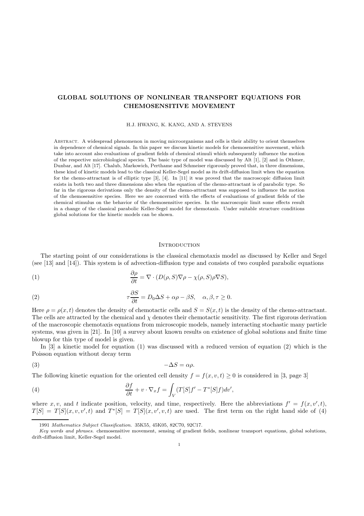## **GLOBAL SOLUTIONS OF NONLINEAR TRANSPORT EQUATIONS FOR CHEMOSENSITIVE MOVEMENT**

H.J. HWANG, K. KANG, AND A. STEVENS

Abstract. A widespread phenomenon in moving microorganisms and cells is their ability to orient themselves in dependence of chemical signals. In this paper we discuss kinetic models for chemosensitive movement, which take into account also evaluations of gradient fields of chemical stimuli which subsequently influence the motion of the respective microbiological species. The basic type of model was discussed by Alt [1], [2] and in Othmer, Dunbar, and Alt [17]. Chalub, Markowich, Perthame and Schmeiser rigorously proved that, in three dimensions, these kind of kinetic models lead to the classical Keller-Segel model as its drift-diffusion limit when the equation for the chemo-attractant is of elliptic type [3], [4]. In [11] it was proved that the macroscopic diffusion limit exists in both two and three dimensions also when the equation of the chemo-attractant is of parabolic type. So far in the rigorous derivations only the density of the chemo-attractant was supposed to influence the motion of the chemosensitive species. Here we are concerned with the effects of evaluations of gradient fields of the chemical stimulus on the behavior of the chemosensitive species. In the macroscopic limit some effects result in a change of the classical parabolic Keller-Segel model for chemotaxis. Under suitable structure conditions global solutions for the kinetic models can be shown.

## **INTRODUCTION**

The starting point of our considerations is the classical chemotaxis model as discussed by Keller and Segel (see [13] and [14]). This system is of advection-diffusion type and consists of two coupled parabolic equations

(1) 
$$
\frac{\partial \rho}{\partial t} = \nabla \cdot (D(\rho, S) \nabla \rho - \chi(\rho, S) \rho \nabla S),
$$

(2) 
$$
\tau \frac{\partial S}{\partial t} = D_0 \Delta S + \alpha \rho - \beta S, \quad \alpha, \beta, \tau \ge 0.
$$

Here  $\rho = \rho(x, t)$  denotes the density of chemotactic cells and  $S = S(x, t)$  is the density of the chemo-attractant. The cells are attracted by the chemical and  $\chi$  denotes their chemotactic sensitivity. The first rigorous derivation of the macroscopic chemotaxis equations from microscopic models, namely interacting stochastic many particle systems, was given in [21]. In [10] a survey about known results on existence of global solutions and finite time blowup for this type of model is given.

In [3] a kinetic model for equation (1) was discussed with a reduced version of equation (2) which is the Poisson equation without decay term

$$
(3) \t-\Delta S = \alpha \rho.
$$

The following kinetic equation for the oriented cell density  $f = f(x, v, t) \ge 0$  is considered in [3, page 3]

(4) 
$$
\frac{\partial f}{\partial t} + v \cdot \nabla_x f = \int_V (T[S]f' - T^*[S]f) dv',
$$

where x, v, and t indicate position, velocity, and time, respectively. Here the abbreviations  $f' = f(x, v', t)$ ,  $T[S] = T[S](x, v, v', t)$  and  $T^*[S] = T[S](x, v', v, t)$  are used. The first term on the right hand side of (4)

<sup>1991</sup> Mathematics Subject Classification. 35K55, 45K05, 82C70, 92C17.

Key words and phrases. chemosensitive movement, sensing of gradient fields, nonlinear transport equations, global solutions, drift-diffusion limit, Keller-Segel model.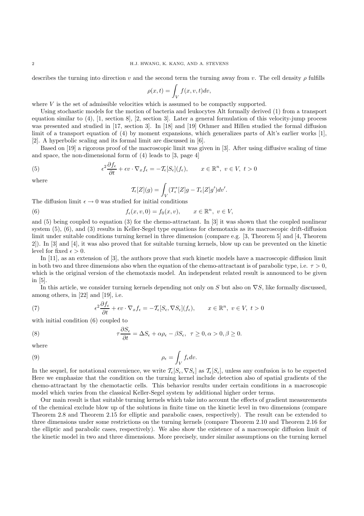describes the turning into direction v and the second term the turning away from v. The cell density  $\rho$  fulfills

$$
\rho(x,t) = \int_V f(x,v,t)dv,
$$

where  $V$  is the set of admissible velocities which is assumed to be compactly supported.

Using stochastic models for the motion of bacteria and leukocytes Alt formally derived (1) from a transport equation similar to (4), [1, section 8], [2, section 3]. Later a general formulation of this velocity-jump process was presented and studied in [17, section 3]. In [18] and [19] Othmer and Hillen studied the formal diffusion limit of a transport equation of (4) by moment expansions, which generalizes parts of Alt's earlier works [1], [2]. A hyperbolic scaling and its formal limit are discussed in [6].

Based on [19] a rigorous proof of the macroscopic limit was given in [3]. After using diffusive scaling of time and space, the non-dimensional form of (4) leads to [3, page 4]

(5) 
$$
\epsilon^2 \frac{\partial f_{\epsilon}}{\partial t} + \epsilon v \cdot \nabla_x f_{\epsilon} = -\mathcal{T}_{\epsilon}[S_{\epsilon}](f_{\epsilon}), \qquad x \in \mathbb{R}^n, \ v \in V, \ t > 0
$$

where

$$
\mathcal{T}_{\epsilon}[Z](g) = \int_{V} (T_{\epsilon}^{*}[Z]g - T_{\epsilon}[Z]g')dv'.
$$

The diffusion limit  $\epsilon \to 0$  was studied for initial conditions

(6) 
$$
f_{\epsilon}(x,v,0) = f_0(x,v), \qquad x \in \mathbb{R}^n, v \in V,
$$

and (5) being coupled to equation (3) for the chemo-attractant. In [3] it was shown that the coupled nonlinear system (5), (6), and (3) results in Keller-Segel type equations for chemotaxis as its macroscopic drift-diffusion limit under suitable conditions turning kernel in three dimension (compare e.g. [3, Theorem 5] and [4, Theorem 2]). In [3] and [4], it was also proved that for suitable turning kernels, blow up can be prevented on the kinetic level for fixed  $\epsilon > 0$ .

In [11], as an extension of [3], the authors prove that such kinetic models have a macroscopic diffusion limit in both two and three dimensions also when the equation of the chemo-attractant is of parabolic type, i.e.  $\tau > 0$ , which is the original version of the chemotaxis model. An independent related result is announced to be given in [5].

In this article, we consider turning kernels depending not only on S but also on  $\nabla S$ , like formally discussed, among others, in [22] and [19], i.e.

(7) 
$$
\epsilon^2 \frac{\partial f_{\epsilon}}{\partial t} + \epsilon v \cdot \nabla_x f_{\epsilon} = -\mathcal{T}_{\epsilon}[S_{\epsilon}, \nabla S_{\epsilon}](f_{\epsilon}), \qquad x \in \mathbb{R}^n, \ v \in V, \ t > 0
$$

with initial condition (6) coupled to

(8) 
$$
\tau \frac{\partial S_{\epsilon}}{\partial t} = \Delta S_{\epsilon} + \alpha \rho_{\epsilon} - \beta S_{\epsilon}, \ \tau \ge 0, \alpha > 0, \beta \ge 0.
$$

where

$$
\rho_{\epsilon} = \int_{V} f_{\epsilon} dv.
$$

In the sequel, for notational convenience, we write  $\mathcal{T}_{\epsilon}[S_{\epsilon}, \nabla S_{\epsilon}]$  as  $\mathcal{T}_{\epsilon}[S_{\epsilon}],$  unless any confusion is to be expected Here we emphasize that the condition on the turning kernel include detection also of spatial gradients of the chemo-attractant by the chemotactic cells. This behavior results under certain conditions in a macroscopic model which varies from the classical Keller-Segel system by additional higher order terms.

Our main result is that suitable turning kernels which take into account the effects of gradient measurements of the chemical exclude blow up of the solutions in finite time on the kinetic level in two dimensions (compare Theorem 2.8 and Theorem 2.15 for elliptic and parabolic cases, respectively). The result can be extended to three dimensions under some restrictions on the turning kernels (compare Theorem 2.10 and Theorem 2.16 for the elliptic and parabolic cases, respectively). We also show the existence of a macroscopic diffusion limit of the kinetic model in two and three dimensions. More precisely, under similar assumptions on the turning kernel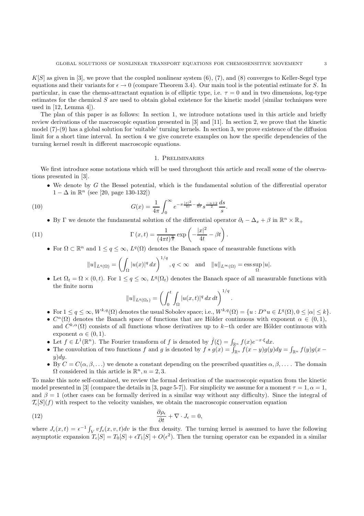$K[S]$  as given in [3], we prove that the coupled nonlinear system  $(6)$ ,  $(7)$ , and  $(8)$  converges to Keller-Segel type equations and their variants for  $\epsilon \to 0$  (compare Theorem 3.4). Our main tool is the potential estimate for S. In particular, in case the chemo-attractant equation is of elliptic type, i.e.  $\tau = 0$  and in two dimensions, log-type estimates for the chemical S are used to obtain global existence for the kinetic model (similar techniques were used in  $[12, \text{Lemma } 4]$ .

The plan of this paper is as follows: In section 1, we introduce notations used in this article and briefly review derivations of the macroscopic equation presented in [3] and [11]. In section 2, we prove that the kinetic model (7)-(9) has a global solution for 'suitable' turning kernels. In section 3, we prove existence of the diffusion limit for a short time interval. In section 4 we give concrete examples on how the specific dependencies of the turning kernel result in different macroscopic equations.

## 1. Preliminaries

We first introduce some notations which will be used throughout this article and recall some of the observations presented in [3].

• We denote by G the Bessel potential, which is the fundamental solution of the differential operator  $1 - \Delta$  in  $\mathbb{R}^n$  (see [20, page 130-132])

(10) 
$$
G(x) = \frac{1}{4\pi} \int_0^\infty e^{-\pi \frac{|x|^2}{4s} - \frac{s}{4\pi}} s^{\frac{-n+2}{2}} \frac{ds}{s}.
$$

• By Γ we denote the fundamental solution of the differential operator  $\partial_t - \Delta_x + \beta$  in  $\mathbb{R}^n \times \mathbb{R}_+$ 

(11) 
$$
\Gamma(x,t) = \frac{1}{(4\pi t)^{\frac{n}{2}}} \exp\left(-\frac{|x|^2}{4t} - \beta t\right).
$$

• For  $\Omega \subset \mathbb{R}^n$  and  $1 \leq q \leq \infty$ ,  $L^q(\Omega)$  denotes the Banach space of measurable functions with

$$
||u||_{L^q(\Omega)} = \left(\int_{\Omega} |u(x)|^q dx\right)^{1/q}, q < \infty \quad \text{and} \quad ||u||_{L^{\infty}(\Omega)} = \operatorname{ess} \sup_{\Omega} |u|.
$$

• Let  $\Omega_t = \Omega \times (0, t)$ . For  $1 \le q \le \infty$ ,  $L^q(\Omega_t)$  denotes the Banach space of all measurable functions with the finite norm

$$
||u||_{L^q(\Omega_t)} = \left(\int_0^t \int_{\Omega} |u(x,t)|^q dx dt\right)^{1/q}.
$$

- For  $1 \le q \le \infty$ ,  $W^{k,q}(\Omega)$  denotes the usual Sobolev space; i.e.,  $W^{k,q}(\Omega) = \{u : D^{\alpha}u \in L^q(\Omega), 0 \le |\alpha| \le k\}.$
- $C^{\alpha}(\Omega)$  denotes the Banach space of functions that are Hölder continuous with exponent  $\alpha \in (0,1)$ , and  $C^{k,\alpha}(\Omega)$  consists of all functions whose derivatives up to k–th order are Hölder continuous with exponent  $\alpha \in (0,1)$ .
- Let  $f \in L^1(\mathbb{R}^n)$ . The Fourier transform of f is denoted by  $\hat{f}(\xi) = \int_{\mathbb{R}^n} f(x)e^{-x\cdot\xi} dx$ .
- The convolution of two functions f and g is denoted by  $f * g(x) = \int_{\mathbb{R}^n} f(x y)g(y)dy = \int_{\mathbb{R}^n} f(y)g(x y)g(y)dy$  $y)dy.$
- By  $C = C(\alpha, \beta, \ldots)$  we denote a constant depending on the prescribed quantities  $\alpha, \beta, \ldots$ . The domain  $\Omega$  considered in this article is  $\mathbb{R}^n, n = 2, 3$ .

To make this note self-contained, we review the formal derivation of the macroscopic equation from the kinetic model presented in [3] (compare the details in [3, page 5-7]). For simplicity we assume for a moment  $\tau = 1, \alpha = 1$ , and  $\beta = 1$  (other cases can be formally derived in a similar way without any difficulty). Since the integral of  $\mathcal{T}_{\epsilon}[S](f)$  with respect to the velocity vanishes, we obtain the macroscopic conservation equation

(12) 
$$
\frac{\partial \rho_{\epsilon}}{\partial t} + \nabla \cdot J_{\epsilon} = 0,
$$

where  $J_{\epsilon}(x,t) = \epsilon^{-1} \int_V v f_{\epsilon}(x,v,t) dv$  is the flux density. The turning kernel is assumed to have the following asymptotic expansion  $T_{\epsilon}[S] = T_0[S] + \epsilon T_1[S] + O(\epsilon^2)$ . Then the turning operator can be expanded in a similar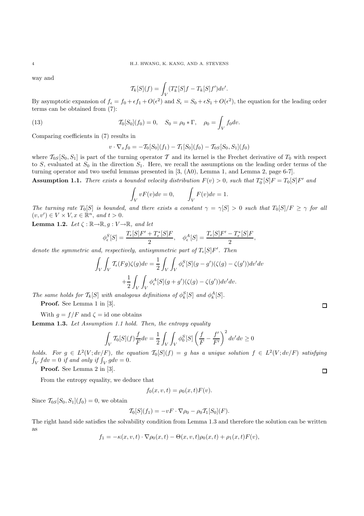way and

$$
\mathcal{T}_k[S](f) = \int_V (T_k^*[S]f - T_k[S]f')dv'.
$$

By asymptotic expansion of  $f_{\epsilon} = f_0 + \epsilon f_1 + O(\epsilon^2)$  and  $S_{\epsilon} = S_0 + \epsilon S_1 + O(\epsilon^2)$ , the equation for the leading order terms can be obtained from (7):

(13) 
$$
\mathcal{T}_0[S_0](f_0) = 0, \quad S_0 = \rho_0 * \Gamma, \quad \rho_0 = \int_V f_0 dv.
$$

Comparing coefficients in (7) results in

$$
v \cdot \nabla_x f_0 = -\mathcal{T}_0[S_0](f_1) - \mathcal{T}_1[S_0](f_0) - \mathcal{T}_{0S}[S_0, S_1](f_0)
$$

where  $\mathcal{T}_{0S}[S_0, S_1]$  is part of the turning operator T and its kernel is the Frechet derivative of  $T_0$  with respect to S, evaluated at  $S_0$  in the direction  $S_1$ . Here, we recall the assumptions on the leading order terms of the turning operator and two useful lemmas presented in [3, (A0), Lemma 1, and Lemma 2, page 6-7].

**Assumption 1.1.** *There exists a bounded velocity distribution*  $F(v) > 0$ , such that  $T_0^*[S]F = T_0[S]F'$  and

$$
\int_{V} vF(v)dv = 0, \qquad \int_{V} F(v)dv = 1.
$$

*The turning rate*  $T_0[S]$  *is bounded, and there exists a constant*  $\gamma = \gamma[S] > 0$  *such that*  $T_0[S]/F \ge \gamma$  *for all*  $(v, v') \in V \times V, x \in \mathbb{R}^n$ , and  $t > 0$ .

**Lemma 1.2.** *Let*  $\zeta : \mathbb{R} \to \mathbb{R}$ ,  $g : V \to \mathbb{R}$ , and let

$$
\phi_\epsilon^S[S] = \frac{T_\epsilon[S] F' + T_\epsilon^*[S] F}{2}, \quad \phi_\epsilon^A[S] = \frac{T_\epsilon[S] F' - T_\epsilon^*[S] F}{2},
$$

*denote the symmetric and, respectively, antisymmetric part of*  $T_{\epsilon}[S]F'$ . Then

$$
\int_{V} \int_{V} \mathcal{T}_{\epsilon}(Fg) \zeta(g) dv = \frac{1}{2} \int_{V} \int_{V} \phi_{\epsilon}^{S}[S](g - g')(\zeta(g) - \zeta(g')) dv' dv
$$

$$
+ \frac{1}{2} \int_{V} \int_{V} \phi_{\epsilon}^{A}[S](g + g')(\zeta(g) - \zeta(g')) dv' dv.
$$

*The same holds for*  $\mathcal{T}_k[S]$  *with analogous definitions of*  $\phi_k^S[S]$  *and*  $\phi_k^A[S]$ *.* 

**Proof.** See Lemma 1 in [3].

With  $q = f/F$  and  $\zeta = id$  one obtains

**Lemma 1.3.** *Let Assumption 1.1 hold. Then, the entropy equality*

$$
\int_{V} T_{0}[S](f) \frac{f}{F} dv = \frac{1}{2} \int_{V} \int_{V} \phi_{0}^{S}[S] \left(\frac{f}{F} - \frac{f'}{F'}\right)^{2} dv' dv \ge 0
$$

*holds.* For  $g \in L^2(V; dv/F)$ *, the equation*  $\mathcal{T}_0[S](f) = g$  *has a unique solution*  $f \in L^2(V; dv/F)$  *satisfying*  $\int_V f dv = 0$  if and only if  $\int_V g dv = 0$ .

**Proof.** See Lemma 2 in [3].

From the entropy equality, we deduce that

$$
f_0(x, v, t) = \rho_0(x, t) F(v).
$$

Since  $\mathcal{T}_{0S}[S_0, S_1](f_0) = 0$ , we obtain

$$
\mathcal{T}_0[S](f_1) = -vF \cdot \nabla \rho_0 - \rho_0 \mathcal{T}_1[S_0](F).
$$

The right hand side satisfies the solvability condition from Lemma 1.3 and therefore the solution can be written as

$$
f_1 = -\kappa(x, v, t) \cdot \nabla \rho_0(x, t) - \Theta(x, v, t) \rho_0(x, t) + \rho_1(x, t) F(v),
$$

 $\Box$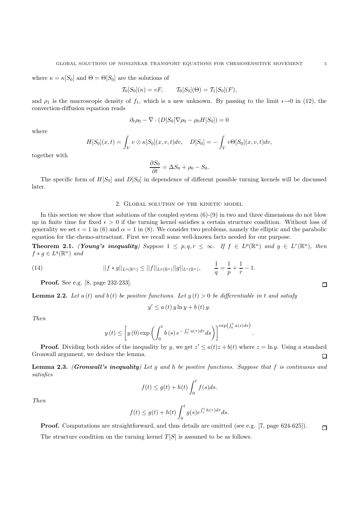where  $\kappa = \kappa[S_0]$  and  $\Theta = \Theta[S_0]$  are the solutions of

$$
\mathcal{T}_0[S_0](\kappa) = vF, \qquad \mathcal{T}_0[S_0](\Theta) = \mathcal{T}_1[S_0](F),
$$

and  $\rho_1$  is the macroscopic density of  $f_1$ , which is a new unknown. By passing to the limit  $\epsilon \rightarrow 0$  in (12), the convection-diffusion equation reads

$$
\partial_t \rho_0 - \nabla \cdot (D[S_0] \nabla \rho_0 - \rho_0 H[S_0]) = 0
$$

where

$$
H[S_0](x,t) = \int_V v \otimes \kappa[S_0](x,v,t)dv, \quad D[S_0] = -\int_V v\Theta[S_0](x,v,t)dv,
$$

together with

$$
\frac{\partial S_0}{\partial t} = \Delta S_0 + \rho_0 - S_0.
$$

The specific form of  $H[S_0]$  and  $D[S_0]$  in dependence of different possible turning kernels will be discussed later.

#### 2. Global solution of the kinetic model

In this section we show that solutions of the coupled system  $(6)-(9)$  in two and three dimensions do not blow up in finite time for fixed  $\epsilon > 0$  if the turning kernel satisfies a certain structure condition. Without loss of generality we set  $\epsilon = 1$  in (6) and  $\alpha = 1$  in (8). We consider two problems, namely the elliptic and the parabolic equation for the chemo-attractant. First we recall some well-known facts needed for our purpose.

**Theorem 2.1.** *(Young's inequality)* Suppose  $1 \leq p, q, r \leq \infty$ *. If*  $f \in L^p(\mathbb{R}^n)$  *and*  $g \in L^r(\mathbb{R}^n)$ *, then*  $f * g \in L^q(\mathbb{R}^n)$  and

(14) 
$$
||f * g||_{L^{q}(\mathbb{R}^{n})} \leq ||f||_{L^{p}(\mathbb{R}^{n})} ||g||_{L^{r}(\mathbb{R}^{n})}, \qquad \frac{1}{q} = \frac{1}{p} + \frac{1}{r} - 1.
$$

**Proof.** See e.g. [8, page 232-233].

**Lemma 2.2.** Let  $a(t)$  and  $b(t)$  be positive functions. Let  $y(t) > 0$  be differentiable in t and satisfy

$$
y' \le a(t) y \ln y + b(t) y.
$$

*Then*

$$
y(t) \le \left[ y(0) \exp \left( \int_0^t b(s) e^{-\int_0^s a(\tau) d\tau} ds \right) \right]^{\exp\left(\int_0^t a(s) ds\right)}
$$

.

**Proof.** Dividing both sides of the inequality by y, we get  $z' \leq a(t)z + b(t)$  where  $z = \ln y$ . Using a standard Gronwall argument, we deduce the lemma.  $\Box$ 

**Lemma 2.3.** *(Gronwall's inequality) Let* <sup>g</sup> *and* <sup>h</sup> *be positive functions. Suppose that* <sup>f</sup> *is continuous and satisfies*

$$
f(t) \le g(t) + h(t) \int_0^t f(s)ds.
$$

*Then*

$$
f(t) \le g(t) + h(t) \int_0^t g(s) e^{\int_s^t h(\tau) d\tau} ds.
$$

**Proof.** Computations are straightforward, and thus details are omitted (see e.g. [7, page 624-625]).  $\Box$ The structure condition on the turning kernel  $T[S]$  is assumed to be as follows.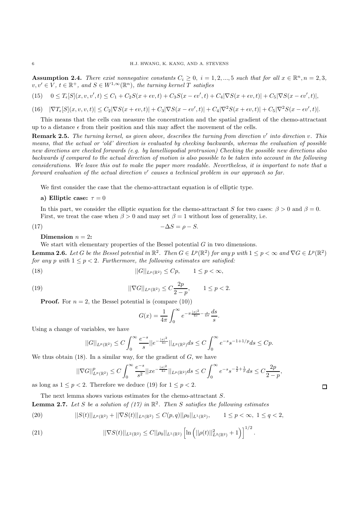**Assumption 2.4.** *There exist nonnegative constants*  $C_i \geq 0$ ,  $i = 1, 2, ..., 5$  *such that for all*  $x \in \mathbb{R}^n, n = 2, 3$ ,  $v, v' \in V$ ,  $t \in \mathbb{R}^+$ , and  $S \in W^{1,\infty}(\mathbb{R}^n)$ , the turning kernel T satisfies

$$
(15) \quad 0 \leq T_{\epsilon}[S](x,v,v',t) \leq C_1 + C_2S(x+\epsilon v,t) + C_3S(x-\epsilon v',t) + C_4|\nabla S(x+\epsilon v,t)| + C_5|\nabla S(x-\epsilon v',t)|,
$$

 $(16) \quad |\nabla T_{\epsilon}[S](x,v,v,t)| \leq C_2 |\nabla S(x+\epsilon v,t)| + C_3 |\nabla S(x-\epsilon v',t)| + C_4 |\nabla^2 S(x+\epsilon v,t)| + C_5 |\nabla^2 S(x-\epsilon v',t)|.$ 

This means that the cells can measure the concentration and the spatial gradient of the chemo-attractant up to a distance  $\epsilon$  from their position and this may affect the movement of the cells.

**Remark 2.5.** The turning kernel, as given above, describes the turning from direction v' into direction v. This *means, that the actual or 'old' direction is evaluated by checking backwards, whereas the evaluation of possible new directions are checked forwards (e.g. by lamelliopodial protrusion) Checking the possible new directions also backwards if compared to the actual direction of motion is also possible to be taken into account in the following considerations. We leave this out to make the paper more readable. Nevertheless, it is important to note that a forward evaluation of the actual direction* v' *causes a technical problem in our approach so far.* 

We first consider the case that the chemo-attractant equation is of elliptic type.

a) Elliptic case: 
$$
\tau = 0
$$

In this part, we consider the elliptic equation for the chemo-attractant S for two cases:  $\beta > 0$  and  $\beta = 0$ . First, we treat the case when  $\beta > 0$  and may set  $\beta = 1$  without loss of generality, i.e.

$$
(17) \t-\Delta S = \rho - S.
$$

**Dimension**  $n = 2$ :

We start with elementary properties of the Bessel potential  $G$  in two dimensions.

**Lemma 2.6.** *Let* G *be the Bessel potential in*  $\mathbb{R}^2$ *. Then*  $G \in L^p(\mathbb{R}^2)$  *for any* p *with*  $1 \leq p < \infty$  and  $\nabla G \in L^p(\mathbb{R}^2)$ *for any* p *with*  $1 \leq p \leq 2$ . Furthermore, the following estimates are satisfied:

$$
||G||_{L^p(\mathbb{R}^2)} \leq Cp, \qquad 1 \leq p < \infty,
$$

(19) 
$$
||\nabla G||_{L^p(\mathbb{R}^2)} \leq C \frac{2p}{2-p}, \qquad 1 \leq p < 2.
$$

**Proof.** For  $n = 2$ , the Bessel potential is (compare (10))

$$
G(x) = \frac{1}{4\pi} \int_0^{\infty} e^{-\pi \frac{|x|^2}{4s} - \frac{s}{4\pi}} \frac{ds}{s}.
$$

Using a change of variables, we have

$$
||G||_{L^p(\mathbb{R}^2)} \leq C \int_0^\infty \frac{e^{-s}}{s} ||e^{-\frac{|x|^2}{4s}}||_{L^p(\mathbb{R}^2)} ds \leq C \int_0^\infty e^{-s} s^{-1+1/p} ds \leq C p.
$$

We thus obtain  $(18)$ . In a similar way, for the gradient of G, we have

$$
||\nabla G||^p_{L^p(\mathbb{R}^2)} \leq C \int_0^\infty \frac{e^{-s}}{s^2} ||xe^{-\frac{|x|^2}{4s}}||_{L^p(\mathbb{R}^2)} ds \leq C \int_0^\infty e^{-s} s^{-\frac{3}{2}+\frac{1}{p}} ds \leq C \frac{2p}{2-p},
$$

as long as  $1 \leq p < 2$ . Therefore we deduce (19) for  $1 \leq p < 2$ .

The next lemma shows various estimates for the chemo-attractant S.

**Lemma 2.7.** Let S be a solution of (17) in  $\mathbb{R}^2$ . Then S satisfies the following estimates

$$
(20) \t\t\t ||S(t)||_{L^p(\mathbb{R}^2)} + ||\nabla S(t)||_{L^q(\mathbb{R}^2)} \leq C(p,q)||\rho_0||_{L^1(\mathbb{R}^2)}, \t 1 \leq p < \infty, \ 1 \leq q < 2,
$$

(21) 
$$
||\nabla S(t)||_{L^2(\mathbb{R}^2)} \leq C||\rho_0||_{L^1(\mathbb{R}^2)} \left[ \ln \left( ||\rho(t)||^2_{L^2(\mathbb{R}^2)} + 1 \right) \right]^{1/2}
$$

 $\Box$ 

.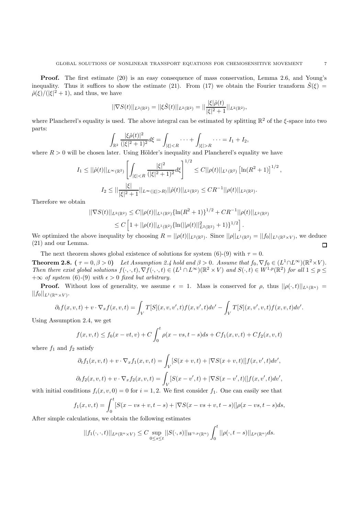**Proof.** The first estimate (20) is an easy consequence of mass conservation, Lemma 2.6, and Young's inequality. Thus it suffices to show the estimate (21). From (17) we obtain the Fourier transform  $\hat{S}(\xi)$  =  $\hat{\rho}(\xi)/(|\xi|^2+1)$ , and thus, we have

$$
||\nabla S(t)||_{L^2(\mathbb{R}^2)} = ||\xi \hat{S}(t)||_{L^2(\mathbb{R}^2)} = ||\frac{|\xi|\hat{\rho}(t)}{|\xi|^2+1}||_{L^2(\mathbb{R}^2)},
$$

where Plancherel's equality is used. The above integral can be estimated by splitting  $\mathbb{R}^2$  of the  $\xi$ -space into two parts:

$$
\int_{\mathbb{R}^2} \frac{|\xi \hat{\rho}(t)|^2}{(|\xi|^2 + 1)^2} d\xi = \int_{|\xi| < R} \cdots + \int_{|\xi| > R} \cdots = I_1 + I_2,
$$

where  $R > 0$  will be chosen later. Using Hölder's inequality and Plancherel's equality we have

$$
I_1 \leq ||\hat{\rho}(t)||_{L^{\infty}(\mathbb{R}^2)} \left[ \int_{|\xi| < R} \frac{|\xi|^2}{(|\xi|^2 + 1)^2} d\xi \right]^{1/2} \leq C ||\rho(t)||_{L^1(\mathbb{R}^2)} \left[ \ln(R^2 + 1) \right]^{1/2},
$$
\n
$$
I_2 \leq ||\frac{|\xi|}{|\xi|^2 + 1} ||_{L^{\infty}(|\xi| > R)} ||\hat{\rho}(t)||_{L^2(\mathbb{R}^2)} \leq C R^{-1} ||\rho(t)||_{L^2(\mathbb{R}^2)}.
$$

Therefore we obtain

$$
||\nabla S(t)||_{L^{2}(\mathbb{R}^{2})} \leq C||\rho(t)||_{L^{1}(\mathbb{R}^{2})}\{\ln(R^{2}+1)\}^{1/2} + CR^{-1}||\rho(t)||_{L^{2}(\mathbb{R}^{2})}
$$
  
\n
$$
\leq C\left[1+||\rho(t)||_{L^{1}(\mathbb{R}^{2})}\{\ln(||\rho(t)||_{L^{2}(\mathbb{R}^{2})}^{2}+1)\}^{1/2}\right].
$$
  
\nNow, inequality by choosing  $R = ||\rho(t)||_{L^{2}(\mathbb{R}^{2})}$ . Since ||q||  $\mu, \rho, \gamma = ||f||$ .

We optimized the above inequality by choosing  $R = ||\rho(t)||_{L^2(\mathbb{R}^2)}$ . Since  $||\rho||_{L^1(\mathbb{R}^2)} = ||f_0||_{L^1(\mathbb{R}^2 \times V)}$ , we deduce (21) and our Lemma.  $\Box$ 

The next theorem shows global existence of solutions for system (6)-(9) with  $\tau = 0$ .

**Theorem 2.8.** ( $\tau = 0, \beta > 0$ ) *Let Assumption 2.4 hold and*  $\beta > 0$ *. Assume that*  $f_0, \nabla f_0 \in (L^1 \cap L^{\infty})(\mathbb{R}^2 \times V)$ *. Then there exist global solutions*  $f(\cdot, \cdot, t), \nabla f(\cdot, \cdot, t) \in (L^1 \cap L^{\infty})(\mathbb{R}^2 \times V)$  *and*  $S(\cdot, t) \in W^{1,p}(\mathbb{R}^2)$  *for all*  $1 \leq p \leq$  $+\infty$  *of system* (6)-(9) *with*  $\epsilon > 0$  *fixed but arbitrary.* 

**Proof.** Without loss of generality, we assume  $\epsilon = 1$ . Mass is conserved for  $\rho$ , thus  $||\rho(\cdot,t)||_{L^1(\mathbb{R}^n)} =$  $||f_0||_{L^1(\mathbb{R}^n\times V)}$ .

$$
\partial_t f(x, v, t) + v \cdot \nabla_x f(x, v, t) = \int_V T[S](x, v, v', t) f(x, v', t) dv' - \int_V T[S](x, v', v, t) f(x, v, t) dv'.
$$

Using Assumption 2.4, we get

$$
f(x, v, t) \le f_0(x - vt, v) + C \int_0^t \rho(x - vs, t - s) ds + Cf_1(x, v, t) + Cf_2(x, v, t)
$$

where  $f_1$  and  $f_2$  satisfy

$$
\partial_t f_1(x, v, t) + v \cdot \nabla_x f_1(x, v, t) = \int_V [S(x + v, t) + |\nabla S(x + v, t)|] f(x, v', t) dv',
$$
  

$$
\partial_t f_2(x, v, t) + v \cdot \nabla_x f_2(x, v, t) = \int_V [S(x - v', t) + |\nabla S(x - v', t)|] f(x, v', t) dv',
$$

with initial conditions  $f_i(x, v, 0) = 0$  for  $i = 1, 2$ . We first consider  $f_1$ . One can easily see that

$$
f_1(x, v, t) = \int_0^t [S(x - vs + v, t - s) + |\nabla S(x - vs + v, t - s)|] \rho(x - vs, t - s) ds,
$$

After simple calculations, we obtain the following estimates

$$
||f_1(\cdot,\cdot,t)||_{L^p(\mathbb{R}^n\times V)} \leq C \sup_{0\leq s\leq t}||S(\cdot,s)||_{W^{1,p}(\mathbb{R}^n)} \int_0^t ||\rho(\cdot,t-s)||_{L^p(\mathbb{R}^n)} ds.
$$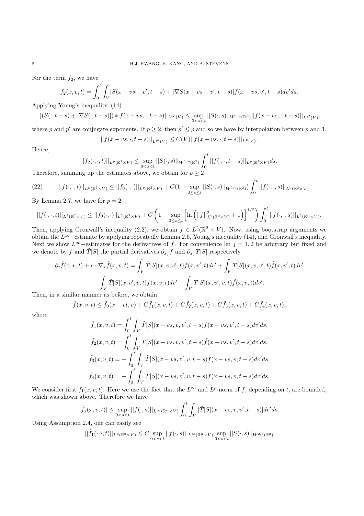For the term  $f_2$ , we have

$$
f_2(x, v, t) = \int_0^t \int_V [S(x - vs - v', t - s) + |\nabla S(x - vs - v', t - s)| f(x - vs, v', t - s) dv' ds.
$$

Applying Young's inequality, (14)

$$
||(S(\cdot,t-s)+|\nabla S(\cdot,t-s)|)*f(x-vs,\cdot,t-s)||_{L^{\infty}(V)}\leq \sup_{0
$$

where p and p' are conjugate exponents. If  $p \ge 2$ , then  $p' \le p$  and so we have by interpolation between p and 1,

$$
||f(x - vs, \cdot, t - s)||_{L^{p'}(V)} \leq C(V)||f(x - vs, \cdot, t - s)||_{L^p(V)}.
$$

Hence,

$$
||f_2(\cdot,\cdot,t)||_{L^p(\mathbb{R}^2\times V)} \leq \sup_{0
$$

 $\overline{f}$ 

Therefore, summing up the estimates above, we obtain for  $p \geq 2$ 

$$
(22) \qquad ||f(\cdot,\cdot,t)||_{L^p(\mathbb{R}^2\times V)} \leq ||f_0(\cdot,\cdot)||_{L^p(\mathbb{R}^2\times V)} + C(1+\sup_{0\leq s\leq t}||S(\cdot,s)||_{W^{1,p}(\mathbb{R}^2)})\int_0^t ||f(\cdot,\cdot,s)||_{L^p(\mathbb{R}^2\times V)}.
$$

By Lemma 2.7, we have for  $p = 2$ 

$$
||f(\cdot,\cdot,t)||_{L^2(\mathbb{R}^2\times V)} \le ||f_0(\cdot,\cdot)||_{L^2(\mathbb{R}^2\times V)} + C\left(1+\sup_{0\le s\le t}\left[\ln\left(||f||^2_{L^2(\mathbb{R}^2\times V)}+1\right)\right]^{1/2}\right)\int_0^t ||f(\cdot,\cdot,s)||_{L^2(\mathbb{R}^n\times V)}.
$$

Then, applying Gronwall's inequality (2.2), we obtain  $f \in L^2(\mathbb{R}^2 \times V)$ . Now, using bootstrap arguments we obtain the L∞−estimate by applying repeatedly Lemma 2.6, Young's inequality (14), and Gronwall's inequality. Next we show L<sup>∞</sup>−estimates for the derivatives of f. For convenience let  $j = 1, 2$  be arbitrary but fixed and we denote by  $\tilde{f}$  and  $\tilde{T}[S]$  the partial derivatives  $\partial_{x_i} f$  and  $\partial_{x_i} T[S]$  respectively.

$$
\partial_t \tilde{f}(x, v, t) + v \cdot \nabla_x \tilde{f}(x, v, t) = \int_V \tilde{T}[S](x, v, v', t) f(x, v', t) dv' + \int_V T[S](x, v, v', t) \tilde{f}(x, v', t) dv'
$$

$$
- \int_V \tilde{T}[S](x, v', v, t) f(x, v, t) dv' - \int_V T[S](x, v', v, t) \tilde{f}(x, v, t) dv'.
$$

Then, in a similar manner as before, we obtain

$$
\tilde{f}(x, v, t) \le \tilde{f}_0(x - vt, v) + C \tilde{f}_1(x, v, t) + C \tilde{f}_2(x, v, t) + C \tilde{f}_3(x, v, t) + C \tilde{f}_4(x, v, t),
$$

where

$$
\tilde{f}_1(x, v, t) = \int_0^t \int_V \tilde{T}[S](x - vs, v, v', t - s) f(x - vs, v', t - s) dv' ds,\n\tilde{f}_2(x, v, t) = \int_0^t \int_V T[S](x - vs, v, v', t - s) \tilde{f}(x - vs, v', t - s) dv' ds,\n\tilde{f}_3(x, v, t) = -\int_0^t \int_V \tilde{T}[S](x - vs, v', v, t - s) f(x - vs, v, t - s) dv' ds,\n\tilde{f}_4(x, v, t) = -\int_0^t \int_V T[S](x - vs, v', v, t - s) \tilde{f}(x - vs, v, t - s) dv' ds.
$$

We consider first  $\tilde{f}_1(x, v, t)$ . Here we use the fact that the  $L^{\infty}$  and  $L^p$ -norm of f, depending on t, are bounded, which was shown above. Therefore we have

$$
|\tilde{f}_1(x,v,t)| \leq \sup_{0 < s < t} ||f(\cdot,s)||_{L^\infty(\mathbb{R}^n \times V)} \int_0^t \int_V |\tilde{T}[S](x - vs, v, v', t - s)| dv' ds.
$$

Using Assumption 2.4, one can easily see

$$
||\tilde{f}_1(\cdot,\cdot,t)||_{L^p(\mathbb{R}^2\times V)} \leq C \sup_{0
$$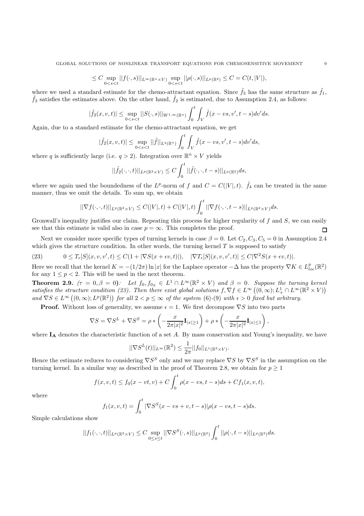$$
\leq C \sup_{0
$$

where we used a standard estimate for the chemo-attractant equation. Since  $\tilde{f}_3$  has the same structure as  $\tilde{f}_1$ ,  $\tilde{f}_3$  satisfies the estimates above. On the other hand,  $\tilde{f}_2$  is estimated, due to Assumpti

$$
|\tilde{f}_2(x,v,t)| \leq \sup_{0 < s < t} ||S(\cdot,s)||_{W^{1,\infty}(\mathbb{R}^n)} \int_0^t \int_V \tilde{f}(x - vs, v', t - s) dv' ds.
$$

Again, due to a standard estimate for the chemo-attractant equation, we get

$$
|\tilde{f}_2(x,v,t)| \leq \sup_{0
$$

where q is sufficiently large (i.e.  $q > 2$ ). Integration over  $\mathbb{R}^n \times V$  yields

$$
||\tilde{f}_2(\cdot,\cdot,t)||_{L^p(\mathbb{R}^2\times V)} \leq C \int_0^t ||\tilde{f}(\cdot,\cdot,t-s)||_{L^p(\mathbb{R}^2)}ds,
$$

where we again used the boundedness of the L<sup>p</sup>-norm of f and  $C = C(|V|, t)$ .  $\tilde{f}_4$  can be treated in the same manner, thus we omit the details. To sum up, we obtain

$$
||\nabla f(\cdot,\cdot,t)||_{L^p(\mathbb{R}^2\times V)} \leq C(|V|,t) + C(|V|,t)\int_0^t ||\nabla f(\cdot,\cdot,t-s)||_{L^p(\mathbb{R}^2\times V)}ds.
$$

Gronwall's inequality justifies our claim. Repeating this process for higher regularity of f and  $S$ , we can easily see that this estimate is valid also in case  $p = \infty$ . This completes the proof. П

Next we consider more specific types of turning kernels in case  $\beta = 0$ . Let  $C_2, C_3, C_5 = 0$  in Assumption 2.4 which gives the structure condition. In other words, the turning kernel  $T$  is supposed to satisfy

(23)  $0 \leq T_{\epsilon}[S](x, v, v', t) \leq C(1 + |\nabla S(x + \epsilon v, t)|), \quad |\nabla T_{\epsilon}[S](x, v, v', t)| \leq C|\nabla^2 S(x + \epsilon v, t)|.$ 

Here we recall that the kernel  $K = -(1/2\pi) \ln |x|$  for the Laplace operator  $-\Delta$  has the property  $\nabla K \in L_{loc}^p(\mathbb{R}^2)$ for any  $1 \leq p < 2$ . This will be used in the next theorem.

**Theorem 2.9.**  $(\tau = 0, \beta = 0)$ *:* Let  $f_0, f_{0x} \in L^1 \cap L^{\infty}(\mathbb{R}^2 \times V)$  and  $\beta = 0$ *. Suppose the turning kernel satisfies the structure condition (23). Then there exist global solutions*  $f, \nabla f \in L^{\infty}((0,\infty); L_{+}^{1} \cap L^{\infty}(\mathbb{R}^{2} \times V))$  $and \nabla S \in L^{\infty}((0,\infty); L^{p}(\mathbb{R}^{2}))$  *for all*  $2 < p \leq \infty$  *of the system* (6)-(9) *with*  $\epsilon > 0$  *fixed but arbitrary.* 

**Proof.** Without loss of generality, we assume  $\epsilon = 1$ . We first decompose  $\nabla S$  into two parts

$$
\nabla S = \nabla S^L + \nabla S^S = \rho * \left( -\frac{x}{2\pi |x|^2} \mathbf{I}_{|x|\geq 1} \right) + \rho * \left( -\frac{x}{2\pi |x|^2} \mathbf{I}_{|x|\leq 1} \right),
$$

where  $I_A$  denotes the characteristic function of a set  $A$ . By mass conservation and Young's inequality, we have

$$
||\nabla S^{L}(t)||_{L^{\infty}}(\mathbb{R}^{2}) \leq \frac{1}{2\pi}||f_{0}||_{L^{1}(\mathbb{R}^{2} \times V)}.
$$

Hence the estimate reduces to considering  $\nabla S^S$  only and we may replace  $\nabla S$  by  $\nabla S^S$  in the assumption on the turning kernel. In a similar way as described in the proof of Theorem 2.8, we obtain for  $p \geq 1$ 

$$
f(x, v, t) \le f_0(x - vt, v) + C \int_0^t \rho(x - vs, t - s) ds + Cf_1(x, v, t),
$$

where

$$
f_1(x, v, t) = \int_0^t |\nabla S^S(x - vs + v, t - s)| \rho(x - vs, t - s) ds.
$$

Simple calculations show

$$
||f_1(\cdot,\cdot,t)||_{L^p(\mathbb{R}^2\times V)} \leq C \sup_{0\leq s\leq t} ||\nabla S^S(\cdot,s)||_{L^p(\mathbb{R}^2)} \int_0^t ||\rho(\cdot,t-s)||_{L^p(\mathbb{R}^2)} ds.
$$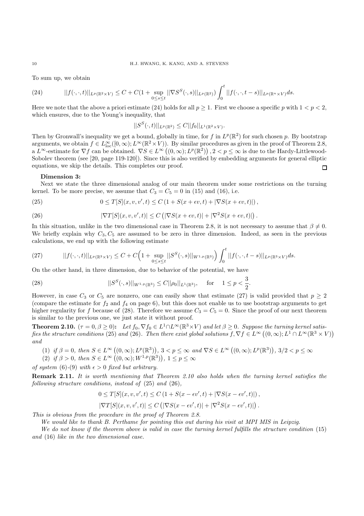To sum up, we obtain

(24) 
$$
||f(\cdot,\cdot,t)||_{L^p(\mathbb{R}^2\times V)} \leq C + C(1+\sup_{0\leq s\leq t}||\nabla S^S(\cdot,s)||_{L^p(\mathbb{R}^2)}) \int_0^t ||f(\cdot,\cdot,t-s)||_{L^p(\mathbb{R}^n\times V)} ds.
$$

Here we note that the above a priori estimate (24) holds for all  $p \ge 1$ . First we choose a specific p with  $1 < p < 2$ , which ensures, due to the Young's inequality, that

$$
||S^{S}(\cdot,t)||_{L^{p}(\mathbb{R}^{2})} \leq C||f_{0}||_{L^{1}(\mathbb{R}^{2} \times V)}.
$$

Then by Gronwall's inequality we get a bound, globally in time, for f in  $L^p(\mathbb{R}^2)$  for such chosen p. By bootstrap arguments, we obtain  $f \in L^{\infty}_{loc}([0,\infty); L^{\infty}(\mathbb{R}^2 \times V))$ . By similar procedures as given in the proof of Theorem 2.8, a  $\tilde{L}^{\infty}$ -estimate for  $\nabla f$  can be obtained.  $\nabla S \in L^{\infty}((0,\infty); L^{p}(\mathbb{R}^{2}))$ ,  $2 < p \leq \infty$  is due to the Hardy-Littlewood-Sobolev theorem (see [20, page 119-120]). Since this is also verified by embedding arguments for general elliptic equations, we skip the details. This completes our proof.  $\Box$ 

## **Dimension 3:**

Next we state the three dimensional analog of our main theorem under some restrictions on the turning kernel. To be more precise, we assume that  $C_3 = C_5 = 0$  in (15) and (16), i.e.

(25) 
$$
0 \leq T[S](x, v, v', t) \leq C\left(1 + S(x + \epsilon v, t) + |\nabla S(x + \epsilon v, t)|\right),
$$

(26) 
$$
|\nabla T[S](x, v, v', t)| \le C \left( |\nabla S(x + \epsilon v, t)| + |\nabla^2 S(x + \epsilon v, t)| \right)
$$

In this situation, unlike in the two dimensional case in Theorem 2.8, it is not necessary to assume that  $\beta \neq 0$ . We briefly explain why  $C_3, C_5$  are assumed to be zero in three dimension. Indeed, as seen in the previous calculations, we end up with the following estimate

$$
(27) \qquad ||f(\cdot,\cdot,t)||_{L^{p}(\mathbb{R}^{3}\times V)} \leq C + C\Big(1+\sup_{0\leq s\leq t}||S^{S}(\cdot,s)||_{W^{1,p}(\mathbb{R}^{3})}\Big)\int_{0}^{t}||f(\cdot,\cdot,t-s)||_{L^{p}(\mathbb{R}^{3}\times V)}ds.
$$

On the other hand, in three dimension, due to behavior of the potential, we have

(28) 
$$
||S^{S}(\cdot,s)||_{W^{1,p}(\mathbb{R}^3)} \leq C||\rho_0||_{L^1(\mathbb{R}^3)}, \text{ for } 1 \leq p < \frac{3}{2}
$$

However, in case  $C_3$  or  $C_5$  are nonzero, one can easily show that estimate (27) is valid provided that  $p \geq 2$ (compare the estimate for  $f_2$  and  $f_4$  on page 6), but this does not enable us to use bootstrap arguments to get higher regularity for f because of (28). Therefore we assume  $C_3 = C_5 = 0$ . Since the proof of our next theorem is similar to the previous one, we just state it without proof.

**Theorem 2.10.**  $(\tau = 0, \beta \ge 0)$ : Let  $f_0, \nabla f_0 \in L^1 \cap L^\infty(\mathbb{R}^3 \times V)$  and let  $\beta \ge 0$ . Suppose the turning kernel satis*fies the structure conditions* (25) and (26). Then there exist global solutions  $f, \nabla f \in L^{\infty}((0,\infty); L^{1} \cap L^{\infty}(\mathbb{R}^{3} \times V))$ *and*

- (1) if  $\beta = 0$ , then  $S \in L^{\infty}((0, \infty); L^{p}(\mathbb{R}^{3}))$ ,  $3 < p \leq \infty$  and  $\nabla S \in L^{\infty}((0, \infty); L^{p}(\mathbb{R}^{3}))$ ,  $3/2 < p \leq \infty$
- (2) if  $\beta > 0$ , then  $S \in L^{\infty}((0, \infty); W^{1,p}(\mathbb{R}^3))$ ,  $1 \leq p \leq \infty$

*of system* (6)-(9) *with*  $\epsilon > 0$  *fixed but arbitrary.* 

**Remark 2.11.** *It is worth mentioning that Theorem 2.10 also holds when the turning kernel satisfies the following structure conditions, instead of* (25) *and* (26)*,*

$$
0 \leq T[S](x, v, v', t) \leq C \left(1 + S(x - \epsilon v', t) + |\nabla S(x - \epsilon v', t)|\right),
$$
  

$$
|\nabla T[S](x, v, v', t)| \leq C \left(|\nabla S(x - \epsilon v', t)| + |\nabla^2 S(x - \epsilon v', t)|\right).
$$

*This is obvious from the procedure in the proof of Theorem 2.8.*

*We would like to thank B. Perthame for pointing this out during his visit at MPI MIS in Leipzig.*

*We do not know if the theorem above is valid in case the turning kernel fulfills the structure condition* (15) *and* (16) *like in the two dimensional case.*

.

.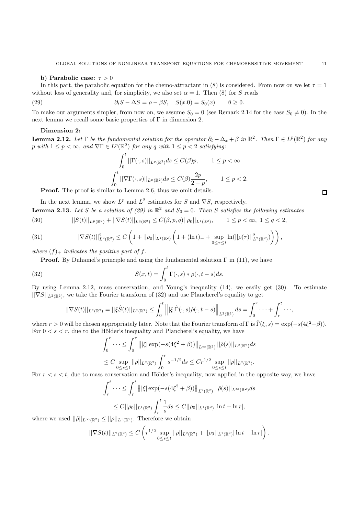## **b)** Parabolic case:  $\tau > 0$

In this part, the parabolic equation for the chemo-attractant in (8) is considered. From now on we let  $\tau = 1$ without loss of generality and, for simplicity, we also set  $\alpha = 1$ . Then (8) for S reads

(29) 
$$
\partial_t S - \Delta S = \rho - \beta S, \quad S(x.0) = S_0(x) \qquad \beta \ge 0.
$$

To make our arguments simpler, from now on, we assume  $S_0 = 0$  (see Remark 2.14 for the case  $S_0 \neq 0$ ). In the next lemma we recall some basic properties of Γ in dimension 2.

## **Dimension 2:**

**Lemma 2.12.** Let  $\Gamma$  be the fundamental solution for the operator  $\partial_t - \Delta_x + \beta$  in  $\mathbb{R}^2$ . Then  $\Gamma \in L^p(\mathbb{R}^2)$  for any p with  $1 \leq p < \infty$ , and  $\nabla \Gamma \in L^p(\mathbb{R}^2)$  for any q with  $1 \leq p < 2$  satisfying:

$$
\int_0^t ||\Gamma(\cdot,s)||_{L^p(\mathbb{R}^2)}ds \leq C(\beta)p, \qquad 1 \leq p < \infty
$$

$$
\int_0^t ||\nabla\Gamma(\cdot,s)||_{L^p(\mathbb{R}^2)}ds \leq C(\beta)\frac{2p}{2-p}, \qquad 1 \leq p < 2.
$$

**Proof.** The proof is similar to Lemma 2.6, thus we omit details.

In the next lemma, we show  $L^p$  and  $L^2$  estimates for S and  $\nabla S$ , respectively. **Lemma 2.13.** Let S be a solution of (29) in  $\mathbb{R}^2$  and  $S_0 = 0$ . Then S satisfies the following estimates

(30) 
$$
||S(t)||_{L^p(\mathbb{R}^2)} + ||\nabla S(t)||_{L^q(\mathbb{R}^2)} \leq C(\beta, p, q)||\rho_0||_{L^1(\mathbb{R}^2)}, \qquad 1 \leq p < \infty, \ 1 \leq q < 2,
$$

$$
(31) \qquad \qquad ||\nabla S(t)||_{L^{2}(\mathbb{R}^{2})}^{2} \leq C\left(1+||\rho_{0}||_{L^{1}(\mathbb{R}^{2})}\left(1+(\ln t)_{+}+\sup_{0\leq\tau\leq t}\ln(||\rho(\tau)||_{L^{2}(\mathbb{R}^{2})}^{2})\right)\right),
$$

where  $(f)$ <sub>+</sub> *indicates the positive part of f.* 

**Proof.** By Duhamel's principle and using the fundamental solution  $\Gamma$  in (11), we have

(32) 
$$
S(x,t) = \int_0^t \Gamma(\cdot,s) * \rho(\cdot,t-s)ds.
$$

By using Lemma 2.12, mass conservation, and Young's inequality (14), we easily get (30). To estimate  $||\nabla S||_{L^2(\mathbb{R}^2)}$ , we take the Fourier transform of (32) and use Plancherel's equality to get

$$
||\nabla S(t)||_{L^2(\mathbb{R}^2)}=||\xi\hat{S}(t)||_{L^2(\mathbb{R}^2)}\leq \int_0^t \left|\left|\left|\xi\right|\hat{\Gamma}(\cdot,s)\hat{\rho}(\cdot,t-s)\right|\right|_{L^2(\mathbb{R}^2)}ds=\int_0^r\cdot\cdot\cdot+\int_r^t\cdot\cdot\cdot,
$$

where  $r > 0$  will be chosen appropriately later. Note that the Fourier transform of Γ is  $\hat{\Gamma}(\xi, s) = \exp(-s(4\xi^2+\beta)).$ For  $0 < s < r$ , due to the Hölder's inequality and Plancherel's equality, we have

$$
\int_0^r \dots \le \int_0^r |||\xi| \exp(-s(4\xi^2 + \beta))||_{L^\infty(\mathbb{R}^2)} ||\hat{\rho}(s)||_{L^2(\mathbb{R}^2)} ds
$$
  
\n
$$
\le C \sup_{0 \le s \le t} ||\rho||_{L^2(\mathbb{R}^2)} \int_0^r s^{-1/2} ds \le Cr^{1/2} \sup_{0 \le s \le t} ||\rho||_{L^2(\mathbb{R}^2)}.
$$

For  $r < s < t$ , due to mass conservation and Hölder's inequality, now applied in the opposite way, we have

$$
\int_r^t \cdots \leq \int_r^t |||\xi| \exp(-s(4\xi^2 + \beta))||_{L^2(\mathbb{R}^2)} ||\hat{\rho}(s)||_{L^{\infty}(\mathbb{R}^2)} ds
$$
  

$$
\leq C||\rho_0||_{L^1(\mathbb{R}^2)} \int_r^t \frac{1}{s} ds \leq C||\rho_0||_{L^1(\mathbb{R}^2)} |\ln t - \ln r|,
$$

where we used  $||\hat{\rho}||_{L^{\infty}(\mathbb{R}^2)} \leq ||\rho||_{L^1(\mathbb{R}^2)}$ . Therefore we obtain

$$
||\nabla S(t)||_{L^2(\mathbb{R}^2)} \leq C \left( r^{1/2} \sup_{0 \leq s \leq t} ||\rho||_{L^2(\mathbb{R}^2)} + ||\rho_0||_{L^1(\mathbb{R}^2)} |\ln t - \ln r| \right).
$$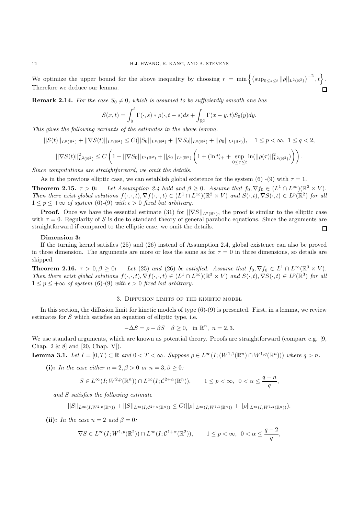We optimize the upper bound for the above inequality by choosing  $r = \min \left\{ \left( \sup_{0 \le s \le t} ||\rho||_{L^2(\mathbb{R}^2)} \right)^{-2}, t \right\}.$ Therefore we deduce our lemma.

**Remark 2.14.** For the case  $S_0 \neq 0$ , which is assumed to be sufficiently smooth one has

$$
S(x,t) = \int_0^t \Gamma(\cdot,s) * \rho(\cdot,t-s)ds + \int_{\mathbb{R}^2} \Gamma(x-y,t)S_0(y)dy.
$$

*This gives the following variants of the estimates in the above lemma.*

$$
||S(t)||_{L^p(\mathbb{R}^2)} + ||\nabla S(t)||_{L^q(\mathbb{R}^2)} \leq C(||S_0||_{L^p(\mathbb{R}^2)} + ||\nabla S_0||_{L^q(\mathbb{R}^2)} + ||\rho_0||_{L^1(\mathbb{R}^2)}), \quad 1 \leq p < \infty, \ 1 \leq q < 2,
$$
  

$$
||\nabla S(t)||^2_{L^2(\mathbb{R}^2)} \leq C\left(1 + ||\nabla S_0||_{L^2(\mathbb{R}^2)} + ||\rho_0||_{L^1(\mathbb{R}^2)}\left(1 + (\ln t)_+ + \sup_{0 \leq \tau \leq t} \ln(||\rho(\tau)||^2_{L^2(\mathbb{R}^2)}\right)\right).
$$

*Since computations are straightforward, we omit the details.*

As in the previous elliptic case, we can establish global existence for the system (6) -(9) with  $\tau = 1$ .

**Theorem 2.15.**  $\tau > 0$ : *Let Assumption 2.4 hold and*  $\beta > 0$ *. Assume that*  $f_0, \nabla f_0 \in (L^1 \cap L^{\infty})(\mathbb{R}^2 \times V)$ *. Then there exist global solutions*  $f(\cdot, \cdot, t), \nabla f(\cdot, \cdot, t) \in (L^1 \cap L^{\infty})(\mathbb{R}^2 \times V)$  *and*  $S(\cdot, t), \nabla S(\cdot, t) \in L^p(\mathbb{R}^2)$  *for all*  $1 \leq p \leq +\infty$  *of system* (6)-(9) *with*  $\epsilon > 0$  *fixed but arbitrary.* 

**Proof.** Once we have the essential estimate (31) for  $||\nabla S||_{L^2(\mathbb{R}^2)}$ , the proof is similar to the elliptic case with  $\tau = 0$ . Regularity of S is due to standard theory of general parabolic equations. Since the arguments are straightforward if compared to the elliptic case, we omit the details.  $\Box$ 

### **Dimension 3:**

If the turning kernel satisfies (25) and (26) instead of Assumption 2.4, global existence can also be proved in three dimension. The arguments are more or less the same as for  $\tau = 0$  in three dimensions, so details are skipped.

**Theorem 2.16.**  $\tau > 0, \beta \geq 0$ : *Let* (25) *and* (26) *be satisfied. Assume that*  $f_0, \nabla f_0 \in L^1 \cap L^\infty(\mathbb{R}^3 \times V)$ . *Then there exist global solutions*  $f(\cdot, \cdot, t), \nabla f(\cdot, \cdot, t) \in (L^1 \cap L^{\infty})(\mathbb{R}^3 \times V)$  *and*  $S(\cdot, t), \nabla S(\cdot, t) \in L^p(\mathbb{R}^3)$  *for all*  $1 \leq p \leq +\infty$  *of system* (6)-(9) *with*  $\epsilon > 0$  *fixed but arbitrary.* 

## 3. Diffusion limits of the kinetic model

In this section, the diffusion limit for kinetic models of type  $(6)-(9)$  is presented. First, in a lemma, we review estimates for S which satisfies an equation of elliptic type, i.e.

$$
-\Delta S = \rho - \beta S \quad \beta \ge 0, \text{ in } \mathbb{R}^n, n = 2, 3.
$$

We use standard arguments, which are known as potential theory. Proofs are straightforward (compare e.g. [9, Chap. 2 & 8] and [20, Chap. V]).

**Lemma 3.1.** *Let*  $I = [0, T) \subset \mathbb{R}$  *and*  $0 < T < \infty$ *. Suppose*  $\rho \in L^{\infty}(I; (W^{1,1}(\mathbb{R}^n) \cap W^{1,q}(\mathbb{R}^n)))$  *where*  $q > n$ *.* 

**(i):** *In the case either*  $n = 2, \beta > 0$  *or*  $n = 3, \beta > 0$ :

$$
S\in L^\infty(I; W^{2, p}(\mathbb{R}^n))\cap L^\infty(I; \mathcal{C}^{2+\alpha}(\mathbb{R}^n)),\qquad 1\leq p<\infty,\ \ 0<\alpha\leq \frac{q-n}{q},
$$

*and* S *satisfies the following estimate*

 $||S||_{L^{\infty}(I;W^{2,p}(\mathbb{R}^n))}+||S||_{L^{\infty}(I;C^{2+\alpha}(\mathbb{R}^n))}\leq C(||\rho||_{L^{\infty}(I;W^{1,1}(\mathbb{R}^n))}+||\rho||_{L^{\infty}(I;W^{1,q}(\mathbb{R}^n))}).$ 

**(ii):** *In the case*  $n = 2$  *and*  $\beta = 0$ *:* 

$$
\nabla S\in L^\infty(I;W^{1,p}(\mathbb{R}^2))\cap L^\infty(I;\mathcal{C}^{1+\alpha}(\mathbb{R}^2)),\qquad 1\leq p<\infty,\ \ 0<\alpha\leq \frac{q-2}{q},
$$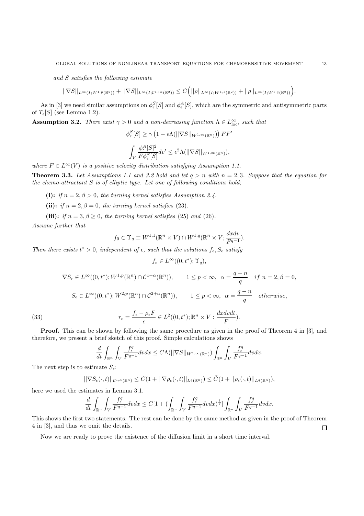*and* S *satisfies the following estimate*

 $||\nabla S||_{L^{\infty}(I;W^{1,p}(\mathbb{R}^2))} + ||\nabla S||_{L^{\infty}(I;\mathcal{C}^{1+\alpha}(\mathbb{R}^2))} \leq C(|\rho||_{L^{\infty}(I;W^{1,1}(\mathbb{R}^2))} + ||\rho||_{L^{\infty}(I;W^{1,q}(\mathbb{R}^2))}).$ 

As in [3] we need similar assumptions on  $\phi_{\epsilon}^{S}[S]$  and  $\phi_{\epsilon}^{A}[S]$ , which are the symmetric and antisymmetric parts of  $T_{\epsilon}[S]$  (see Lemma 1.2).

**Assumption 3.2.** *There exist*  $\gamma > 0$  *and a non-decreasing function*  $\Lambda \in L^{\infty}_{loc}$ *, such that* 

$$
\phi_{\epsilon}^{S}[S] \geq \gamma \left(1 - \epsilon \Lambda(||\nabla S||_{W^{1,\infty}(\mathbb{R}^n)})\right) FF'
$$

$$
\int_{V} \frac{\phi_{\epsilon}^{A}[S]^2}{F\phi_{\epsilon}^{S}[S]} dv' \leq \epsilon^2 \Lambda(||\nabla S||_{W^{1,\infty}(\mathbb{R}^n)}),
$$

*where*  $F \in L^{\infty}(V)$  *is a positive velocity distribution satisfying Assumption 1.1.* 

**Theorem 3.3.** Let Assumptions 1.1 and 3.2 hold and let  $q > n$  with  $n = 2, 3$ . Suppose that the equation for *the chemo-attractant* S *is of elliptic type. Let one of following conditions hold;*

(i): *if*  $n = 2, \beta > 0$ *, the turning kernel satisfies Assumption 2.4.* 

(ii): *if*  $n = 2, \beta = 0$ *, the turning kernel satisfies* (23)*.* 

(iii): *if*  $n = 3, \beta \geq 0$ *, the turning kernel satisfies* (25) *and* (26)*.* 

*Assume further that*

$$
f_0 \in \Upsilon_q \equiv W^{1,1}(\mathbb{R}^n \times V) \cap W^{1,q}(\mathbb{R}^n \times V; \frac{dxdv}{F^{q-1}}).
$$

*Then there exists*  $t^* > 0$ *, independent of*  $\epsilon$ *, such that the solutions*  $f_{\epsilon}$ *,*  $S_{\epsilon}$  *satisfy* 

$$
f_{\epsilon} \in L^{\infty}((0, t^*); \Upsilon_q),
$$

(33)  
\n
$$
\nabla S_{\epsilon} \in L^{\infty}((0, t^*); W^{1, p}(\mathbb{R}^n) \cap C^{1+\alpha}(\mathbb{R}^n)), \qquad 1 \le p < \infty, \ \alpha = \frac{q-n}{q} \quad \text{if} \ n = 2, \beta = 0,
$$
\n
$$
S_{\epsilon} \in L^{\infty}((0, t^*); W^{2, p}(\mathbb{R}^n) \cap C^{2+\alpha}(\mathbb{R}^n)), \qquad 1 \le p < \infty, \ \alpha = \frac{q-n}{q} \quad \text{otherwise},
$$
\n
$$
r_{\epsilon} = \frac{f_{\epsilon} - \rho_{\epsilon} F}{\epsilon} \in L^2((0, t^*); \mathbb{R}^n \times V : \frac{dx dv dt}{F}).
$$

**Proof.** This can be shown by following the same procedure as given in the proof of Theorem 4 in [3], and therefore, we present a brief sketch of this proof. Simple calculations shows

$$
\frac{d}{dt}\int_{\mathbb{R}^n}\int_V\frac{f^q_\epsilon}{F^{q-1}}dvdx\leq C\Lambda(||\nabla S||_{W^{1,\infty}(\mathbb{R}^n)})\int_{\mathbb{R}^n}\int_V\frac{f^q_\epsilon}{F^{q-1}}dvdx.
$$

The next step is to estimate  $S_{\epsilon}$ :

$$
||\nabla S_{\epsilon}(\cdot,t)||_{\mathcal{C}^{1,\alpha}(\mathbb{R}^n)} \leq C(1+||\nabla \rho_{\epsilon}(\cdot,t)||_{L^{q}(\mathbb{R}^n)}) \leq \tilde{C}(1+||\rho_{\epsilon}(\cdot,t)||_{L^{q}(\mathbb{R}^n)}),
$$

here we used the estimates in Lemma 3.1.

$$
\frac{d}{dt}\int_{\mathbb{R}^n}\int_V\frac{f^q_\epsilon}{F^{q-1}}dvdx\leq C[1+(\int_{\mathbb{R}^n}\int_V\frac{f^q_\epsilon}{F^{q-1}}dvdx)^{\frac{1}{q}}]\int_{\mathbb{R}^n}\int_V\frac{f^q_\epsilon}{F^{q-1}}dvdx.
$$

This shows the first two statements. The rest can be done by the same method as given in the proof of Theorem 4 in [3], and thus we omit the details.  $\Box$ 

Now we are ready to prove the existence of the diffusion limit in a short time interval.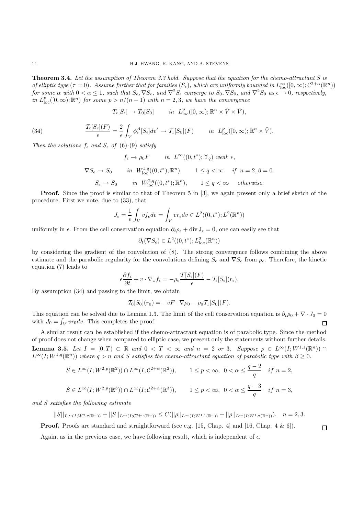**Theorem 3.4.** *Let the assumption of Theorem 3.3 hold. Suppose that the equation for the chemo-attractant* S *is of elliptic type*  $(\tau = 0)$ . Assume further that for families  $(S_{\epsilon})$ , which are uniformly bounded in  $L_{\text{loc}}^{\infty}([0,\infty); \mathcal{C}^{2+\alpha}(\mathbb{R}^n))$  $for~some~\alpha~with~0<\alpha\leq 1,~such~that~S_{\epsilon},\nabla S_{\epsilon},~and~\nabla^2 S_{\epsilon}~converge~to~S_0, \nabla S_0,~and~\nabla^2 S_0~as~\epsilon\to 0,~respectively,$ *in*  $L_{\text{loc}}^p([0,\infty);\mathbb{R}^n)$  *for some*  $p > n/(n-1)$  *with*  $n = 2,3$ *, we have the convergence* 

$$
T_{\epsilon}[S_{\epsilon}] \to T_0[S_0] \quad in \quad L_{\text{loc}}^p([0,\infty);\mathbb{R}^n \times \bar{V} \times \bar{V}),
$$

(34) 
$$
\frac{\mathcal{T}_{\epsilon}[S_{\epsilon}](F)}{\epsilon} = \frac{2}{\epsilon} \int_{V} \phi_{\epsilon}^{A}[S_{\epsilon}]dv' \to \mathcal{T}_{1}[S_{0}](F) \quad in \quad L_{\text{loc}}^{p}([0,\infty);\mathbb{R}^{n} \times \bar{V}).
$$

*Then the solutions*  $f_{\epsilon}$  *and*  $S_{\epsilon}$  *of* (6)-(9) *satisfy* 

$$
f_{\epsilon} \to \rho_0 F \quad in \quad L^{\infty}((0, t^*); \Upsilon_q) \text{ weak } *,
$$
  

$$
\nabla S_{\epsilon} \to S_0 \quad in \quad W_{\text{loc}}^{1,q}((0, t^*); \mathbb{R}^n), \quad 1 \le q < \infty \quad if \quad n = 2, \beta = 0.
$$
  

$$
S_{\epsilon} \to S_0 \quad in \quad W_{\text{loc}}^{2,q}((0, t^*); \mathbb{R}^n), \quad 1 \le q < \infty \quad otherwise.
$$

**Proof.** Since the proof is similar to that of Theorem 5 in [3], we again present only a brief sketch of the procedure. First we note, due to (33), that

$$
J_{\epsilon} = \frac{1}{\epsilon} \int_{V} v f_{\epsilon} dv = \int_{V} v r_{\epsilon} dv \in L^{2}((0, t^{*}); L^{2}(\mathbb{R}^{n}))
$$

uniformly in  $\epsilon$ . From the cell conservation equation  $\partial_t \rho_{\epsilon} + \text{div} \mathbf{J}_{\epsilon} = 0$ , one can easily see that

$$
\partial_t(\nabla S_\epsilon) \in L^2((0,t^*);L^2_{\rm loc}(\mathbb{R}^n))
$$

by considering the gradient of the convolution of (8). The strong convergence follows combining the above estimate and the parabolic regularity for the convolutions defining  $S_{\epsilon}$  and  $\nabla S_{\epsilon}$  from  $\rho_{\epsilon}$ . Therefore, the kinetic equation (7) leads to

$$
\epsilon \frac{\partial f_{\epsilon}}{\partial t} + v \cdot \nabla_x f_{\epsilon} = -\rho_{\epsilon} \frac{\mathcal{T}[S_{\epsilon}](F)}{\epsilon} - \mathcal{T}_{\epsilon}[S_{\epsilon}](r_{\epsilon}).
$$

By assumption (34) and passing to the limit, we obtain

$$
\mathcal{T}_0[S_0](r_0) = -vF \cdot \nabla \rho_0 - \rho_0 \mathcal{T}_1[S_0](F).
$$

This equation can be solved due to Lemma 1.3. The limit of the cell conservation equation is  $\partial_t \rho_0 + \nabla \cdot J_0 = 0$ with  $J_0 = \int_V v r_0 dv$ . This completes the proof.  $\Box$ 

A similar result can be established if the chemo-attractant equation is of parabolic type. Since the method of proof does not change when compared to elliptic case, we present only the statements without further details. **Lemma 3.5.** *Let*  $I = [0, T) \subset \mathbb{R}$  *and*  $0 < T < \infty$  *and*  $n = 2$  *or* 3*. Suppose*  $\rho \in L^{\infty}(I; W^{1,1}(\mathbb{R}^n)) \cap$  $L^{\infty}(I;W^{1,q}(\mathbb{R}^n))$  where  $q>n$  and S satisfies the chemo-attractant equation of parabolic type with  $\beta \geq 0$ .

$$
S \in L^{\infty}(I; W^{2,p}(\mathbb{R}^2)) \cap L^{\infty}(I; C^{2+\alpha}(\mathbb{R}^2)), \qquad 1 \le p < \infty, \ 0 < \alpha \le \frac{q-2}{q} \quad \text{if } n = 2,
$$
  

$$
S \in L^{\infty}(I; W^{2,p}(\mathbb{R}^3)) \cap L^{\infty}(I; C^{2+\alpha}(\mathbb{R}^3)), \qquad 1 \le p < \infty, \ 0 < \alpha \le \frac{q-3}{q} \quad \text{if } n = 3,
$$

*and* S *satisfies the following estimate*

$$
||S||_{L^{\infty}(I;W^{2,p}(\mathbb{R}^n))}+||S||_{L^{\infty}(I;\mathcal{C}^{2+\alpha}(\mathbb{R}^n))}\leq C(||\rho||_{L^{\infty}(I;W^{1,1}(\mathbb{R}^n))}+||\rho||_{L^{\infty}(I;W^{1,q}(\mathbb{R}^n))}).\quad n=2,3.
$$

**Proof.** Proofs are standard and straightforward (see e.g. [15, Chap. 4] and [16, Chap. 4 & 6]).

Again, as in the previous case, we have following result, which is independent of  $\epsilon$ .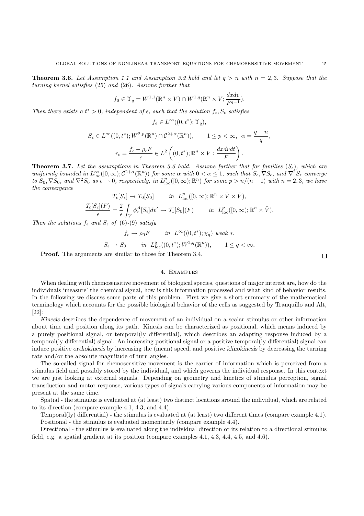**Theorem 3.6.** Let Assumption 1.1 and Assumption 3.2 hold and let  $q > n$  with  $n = 2,3$ . Suppose that the *turning kernel satisfies* (25) *and* (26)*. Assume further that*

$$
f_0 \in \Upsilon_q = W^{1,1}(\mathbb{R}^n \times V) \cap W^{1,q}(\mathbb{R}^n \times V; \frac{dxdv}{F^{q-1}}).
$$

*Then there exists a*  $t^* > 0$ *, independent of*  $\epsilon$ *, such that the solution*  $f_{\epsilon}$ *,*  $S_{\epsilon}$  *satisfies* 

$$
f_{\epsilon} \in L^{\infty}((0, t^*); \Upsilon_q),
$$

$$
S_{\epsilon} \in L^{\infty}((0, t^*); W^{2, p}(\mathbb{R}^n) \cap C^{2+\alpha}(\mathbb{R}^n)), \qquad 1 \le p < \infty, \ \alpha = \frac{q - n}{q},
$$

$$
r_{\epsilon} = \frac{f_{\epsilon} - \rho_{\epsilon} F}{\epsilon} \in L^2\left((0, t^*); \mathbb{R}^n \times V : \frac{dx dv dt}{F}\right).
$$

**Theorem 3.7.** Let the assumptions in Theorem 3.6 hold. Assume further that for families  $(S_{\epsilon})$ , which are  $uniformly\ bounded\ in\ L^{\infty}_{\text{loc}}([0,\infty); \mathcal{C}^{2+\alpha}(\mathbb{R}^n))\ for\ some\ \alpha\ with\ 0<\alpha\leq 1,\ such\ that\ S_{\epsilon},\nabla S_{\epsilon},\ and\ \nabla^2 S_{\epsilon}\ converges\ of\ the\ function\ of\ the\ condition\ of\ the\ condition\ of\ the\ condition\ of\ the\ condition\ of\ the\ condition\ of\ the\ condition\ of\ the\ condition\ of\ the\ condition\ of\ the\ condition\ of\ the\ condition\ of\ the\ condition\ of\ the\ condition\ of\ the\ condition\ of\ the\ condition\ of\ the\ condition\ of\ the\ condition\ of\ the\ condition\ of\ the\ condition\ of\ the\ condition\$  $\overline{S_0, \nabla S_0}$ , and  $\nabla^2 S_0$  as  $\epsilon \to 0$ , respectively, in  $L_{loc}^p([0,\infty);\mathbb{R}^n)$  for some  $p > n/(n-1)$  with  $n = 2,3$ , we have *the convergence* T<sub>1</sub>  $\frac{1}{2}$  + T<sub>0</sub><sup>2</sup> + T<sub>0</sub><sup>2</sup> + T<sub>0</sub><sup>2</sup> + T<sub>0</sub><sup>2</sup> + T<sub>0</sub><sup>2</sup> + T<sub>0</sub><sup>2</sup> + T<sub>0</sub><sup>2</sup> + T<sub>0</sub><sup>2</sup> + T<sub>0</sub><sup>2</sup> + T<sub>0</sub><sup>2</sup> + T<sub>0</sub><sup>2</sup> + T<sub>0</sub><sup>2</sup> + T<sub>0</sub><sup>2</sup> + T<sub>0</sub><sup>2</sup> + T<sub>0</sub><sup>2</sup> + T<sub>0</sub><sup>2</sup> + T<sub>0</sub><sup>2</sup> + T<sub>0</sub><sup>2</sup> + T<sub>0</sub><sup>2</sup> + T<sub>0</sub><sup>2</sup> + T<sub>0</sub><sup></sup> loc( $\alpha$ ); Rn  $\alpha$   $\alpha$ ,  $\alpha$ 

$$
T_{\epsilon}[S_{\epsilon}]\to T_0[S_0] \quad in \ L^p_{\text{loc}}([0,\infty); \mathbb{R}^n \times V \times V),
$$
  

$$
\frac{\mathcal{T}_{\epsilon}[S_{\epsilon}](F)}{\epsilon} = \frac{2}{\epsilon} \int_V \phi_{\epsilon}^A[S_{\epsilon}]dv' \to \mathcal{T}_1[S_0](F) \quad in \ L^p_{\text{loc}}([0,\infty); \mathbb{R}^n \times \bar{V}).
$$

*Then the solutions*  $f_{\epsilon}$  *and*  $S_{\epsilon}$  *of* (6)-(9) *satisfy* 

$$
f_{\epsilon} \to \rho_0 F \qquad in \quad L^{\infty}((0, t^*); \chi_q) \text{ weak } *,
$$
  

$$
S_{\epsilon} \to S_0 \qquad in \quad L^q_{\text{loc}}((0, t^*); W^{2,q}(\mathbb{R}^n)), \qquad 1 \le q < \infty,
$$

**Proof.** The arguments are similar to those for Theorem 3.4.

## 4. Examples

When dealing with chemosensitive movement of biological species, questions of major interest are, how do the individuals 'measure' the chemical signal, how is this information processed and what kind of behavior results. In the following we discuss some parts of this problem. First we give a short summary of the mathematical terminology which accounts for the possible biological behavior of the cells as suggested by Tranquillo and Alt, [22]:

*Kinesis* describes the dependence of movement of an individual on a scalar stimulus or other information about time and position along its path. Kinesis can be characterized as positional, which means induced by a purely positional signal, or temporal(ly differential), which describes an adapting response induced by a temporal(ly differential) signal. An increasing positional signal or a positive temporal(ly differential) signal can induce positive *orthokinesis* by increasing the (mean) speed, and positive *klinokinesis* by decreasing the turning rate and/or the absolute magnitude of turn angles.

The so-called signal for chemosensitive movement is the carrier of information which is perceived from a stimulus field and possibly stored by the individual, and which governs the individual response. In this context we are just looking at external signals. Depending on geometry and kinetics of stimulus perception, signal transduction and motor response, various types of signals carrying various components of information may be present at the same time.

Spatial - the stimulus is evaluated at (at least) two distinct locations around the individual, which are related to its direction (compare example 4.1, 4.3, and 4.4).

Temporal(ly) differential) - the stimulus is evaluated at (at least) two different times (compare example 4.1). Positional - the stimulus is evaluated momentarily (compare example 4.4).

Directional - the stimulus is evaluated along the individual direction or its relation to a directional stimulus field, e.g. a spatial gradient at its position (compare examples 4.1, 4.3, 4.4, 4.5, and 4.6).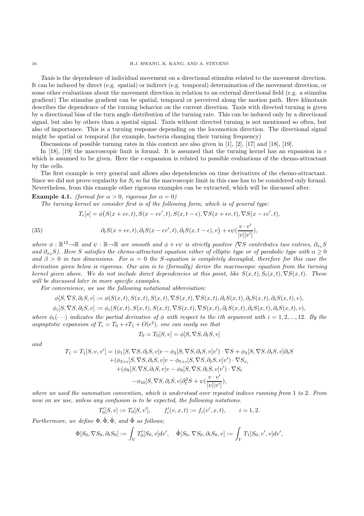*Taxis* is the dependence of individual movement on a directional stimulus related to the movement direction. It can be induced by direct (e.g. spatial) or indirect (e.g. temporal) determination of the movement direction, or some other evaluations about the movement direction in relation to an external directional field (e.g. a stimulus gradient) The stimulus gradient can be spatial, temporal or perceived along the motion path. Here *klinotaxis* describes the dependence of the turning behavior on the current direction. Taxis with directed turning is given by a directional bias of the turn angle distribution of the turning rate. This can be induced only by a directional signal, but also by others than a spatial signal. Taxis without directed turning is not mentioned so often, but also of importance. This is a turning response depending on the locomotion direction. The directional signal might be spatial or temporal (for example, bacteria changing their turning frequency)

Discussions of possible turning rates in this context are also given in [1], [2], [17] and [18], [19].

In [18], [19] the macroscopic limit is formal. It is assumed that the turning kernel has an expansion in  $\epsilon$ which is assumed to be given. Here the  $\epsilon$ -expansion is related to possible evaluations of the chemo-attractant by the cells.

The first example is very general and allows also dependencies on time derivatives of the chemo-attractant. Since we did not prove regularity for  $S_t$  so far the macroscopic limit in this case has to be considered only formal. Nevertheless, from this example other rigorous examples can be extracted, which will be discussed after.

**Example 4.1.** *(formal for*  $\alpha > 0$ *, rigorous for*  $\alpha = 0$ *)* 

*The turning kernel we consider first is of the following form, which is of general type:*

(35) 
$$
T_{\epsilon}[s] = \phi(S(x + \epsilon v, t), S(x - \epsilon v', t), S(x, t - \epsilon), \nabla S(x + \epsilon v, t), \nabla S(x - \epsilon v', t),
$$

$$
\partial_t S(x + \epsilon v, t), \partial_t S(x - \epsilon v', t), \partial_t S(x, t - \epsilon), v) + \epsilon \psi(\frac{v \cdot v'}{|v||v'|}),
$$

*where*  $\phi : \mathbb{R}^{12} \to \mathbb{R}$  *and*  $\psi : \mathbb{R} \to \mathbb{R}$  *are smooth and*  $\phi + \epsilon \psi$  *is strictly positive* ( $\nabla S$  *contributes two entries,*  $\partial_{x_1} S$ *and*  $\partial_{x_2}S$ *). Here* S *satisfies the chemo-attractant equation either of elliptic type or of parabolic type with*  $\alpha \geq 0$ *and*  $\beta > 0$  *in two dimensions. For*  $\alpha = 0$  *the S-equation is completely decoupled, therefore for this case the derivation given below is rigorous. Our aim is to (formally) derive the macroscopic equation from the turning kernel given above. We do not include direct dependencies at this point, like*  $S(x,t)$ ,  $S_t(x,t)$ ,  $\nabla S(x,t)$ *. These will be discussed later in more specific examples.*

*For convenience, we use the following notational abbreviation:*

$$
\phi[S, \nabla S, \partial_t S, v] := \phi(S(x, t), S(x, t), S(x, t), \nabla S(x, t), \nabla S(x, t), \partial_t S(x, t), \partial_t S(x, t), \partial_t S(x, t), v),
$$

 $\phi_i[S, \nabla S, \partial_t S, v] := \phi_i(S(x, t), S(x, t), S(x, t), \nabla S(x, t), \nabla S(x, t), \partial_t S(x, t), \partial_t S(x, t), \partial_t S(x, t), v),$ 

*where*  $\phi_i(\cdot \cdot \cdot)$  *indicates the partial derivative of*  $\phi$  *with respect to the ith argument with*  $i = 1, 2, ..., 12$ *. By the asymptotic expansion of*  $T_{\epsilon} = T_0 + \epsilon T_1 + O(\epsilon^2)$ , *one can easily see that* 

$$
T_0 = T_0[S, v] = \phi[S, \nabla S, \partial_t S, v]
$$

*and*

$$
T_1 = T_1[S, v, v'] = (\phi_1[S, \nabla S, \partial_t S, v]v - \phi_2[S, \nabla S, \partial_t S, v]v') \cdot \nabla S + \phi_3[S, \nabla S, \partial_t S, v] \partial_t S + (\phi_{3+i}[S, \nabla S, \partial_t S, v]v - \phi_{5+i}[S, \nabla S, \partial_t S, v]v') \cdot \nabla S_{x_i} + (\phi_8[S, \nabla S, \partial_t S, v]v - \phi_9[S, \nabla S, \partial_t S, v]v') \cdot \nabla S_t - \phi_{10}[S, \nabla S, \partial_t S, v] \partial_t^2 S + \psi(\frac{v \cdot v'}{|v||v'|}),
$$

*where we used the summation convention, which is understood over repeated indices running from* 1 *to* 2*. From now on we use, unless any confusion is to be expected, the following notations.*

$$
T'_{0}[S, v] := T_{0}[S, v'], \qquad f'_{i}(v, x, t) := f_{i}(v', x, t), \qquad i = 1, 2.
$$

*Furthermore, we define*  $\Phi$ ,  $\tilde{\Phi}$ ,  $\hat{\Phi}$ , and  $\bar{\Phi}$  as follows:

$$
\Phi[S_0, \nabla S_0, \partial_t S_0] := \int_V T'_0[S_0, v] dv', \quad \tilde{\Phi}[S_0, \nabla S_0, \partial_t S_0, v] := \int_V T_1[S_0, v', v] dv',
$$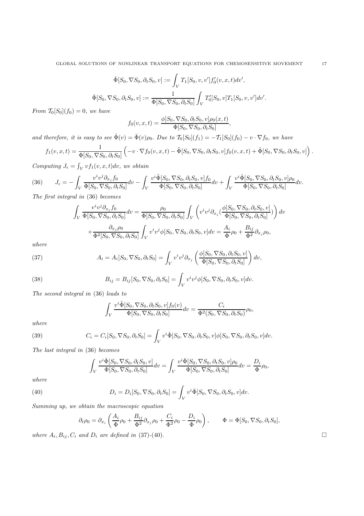$$
\hat{\Phi}[S_0, \nabla S_0, \partial_t S_0, v] := \int_V T_1[S_0, v, v'] f'_0(v, x, t) dv',
$$
  

$$
\bar{\Phi}[S_0, \nabla S_0, \partial_t S_0, v] := \frac{1}{\Phi[S_0, \nabla S_0, \partial_t S_0]} \int_V T'_0[S_0, v] T_1[S_0, v, v'] dv'.
$$

*From*  $T_0[S_0](f_0) = 0$ *, we have* 

$$
f_0(v, x, t) = \frac{\phi[S_0, \nabla S_0, \partial_t S_0, v] \rho_0(x, t)}{\Phi[S_0, \nabla S_0, \partial_t S_0]},
$$

*and therefore, it is easy to see*  $\hat{\Phi}(v) = \bar{\Phi}(v)\rho_0$ . *Due to*  $\mathcal{T}_0[S_0](f_1) = -\mathcal{T}_1[S_0](f_0) - v \cdot \nabla f_0$ *, we have* 

$$
f_1(v, x, t) = \frac{1}{\Phi[S_0, \nabla S_0, \partial_t S_0]} \left( -v \cdot \nabla f_0(v, x, t) - \tilde{\Phi}[S_0, \nabla S_0, \partial_t S_0, v] f_0(v, x, t) + \hat{\Phi}[S_0, \nabla S_0, \partial_t S_0, v] \right).
$$

*Computing*  $J_{\epsilon} = \int_{V} vf_1(v, x, t) dv$ , we obtain

(36) 
$$
J_{\epsilon} = -\int_{V} \frac{v^{i}v^{j}\partial_{x_{j}}f_{0}}{\Phi[S_{0}, \nabla S_{0}, \partial_{t}S_{0}]} dv - \int_{V} \frac{v^{i}\tilde{\Phi}[S_{0}, \nabla S_{0}, \partial_{t}S_{0}, v]f_{0}}{\Phi[S_{0}, \nabla S_{0}, \partial_{t}S_{0}]} dv + \int_{V} \frac{v^{i}\hat{\Phi}[S_{0}, \nabla S_{0}, \partial_{t}S_{0}, v] \rho_{0}}{\Phi[S_{0}, \nabla S_{0}, \partial_{t}S_{0}]} dv.
$$

*The first integral in* (36) *becomes*

$$
\int_{V} \frac{v^{i}v^{j}\partial_{x_{j}}f_{0}}{\Phi[S_{0},\nabla S_{0},\partial_{t}S_{0}]}dv = \frac{\rho_{0}}{\Phi[S_{0},\nabla S_{0},\partial_{t}S_{0}]} \int_{V} \left(v^{i}v^{j}\partial_{x_{j}}(\frac{\phi[S_{0},\nabla S_{0},\partial_{t}S_{0},v]}{\Phi[S_{0},\nabla S_{0},\partial_{t}S_{0}]})\right)dv
$$

$$
+ \frac{\partial_{x_{j}}\rho_{0}}{\Phi^{2}[S_{0},\nabla S_{0},\partial_{t}S_{0}]} \int_{V} v^{i}v^{j}\phi[S_{0},\nabla S_{0},\partial_{t}S_{0},v]dv = \frac{A_{i}}{\Phi}\rho_{0} + \frac{B_{ij}}{\Phi^{2}}\partial_{x_{j}}\rho_{0},
$$

*where*

(37) 
$$
A_i = A_i[S_0, \nabla S_0, \partial_t S_0] = \int_V v^i v^j \partial_{x_j} \left( \frac{\phi[S_0, \nabla S_0, \partial_t S_0, v]}{\Phi[S_0, \nabla S_0, \partial_t S_0]} \right) dv,
$$

(38) 
$$
B_{ij} = B_{ij}[S_0, \nabla S_0, \partial_t S_0] = \int_V v^i v^j \phi[S_0, \nabla S_0, \partial_t S_0, v] dv.
$$

*The second integral in* (36) *leads to*

$$
\int_{V} \frac{v^i \tilde{\Phi}[S_0, \nabla S_0, \partial_t S_0, v] f_0(v)}{\Phi[S_0, \nabla S_0, \partial_t S_0]} dv = \frac{C_i}{\Phi^2(S_0, \nabla S_0, \partial_t S_0)} \rho_0,
$$

*where*

(39) 
$$
C_i = C_i[S_0, \nabla S_0, \partial_t S_0] = \int_V v^i \tilde{\Phi}[S_0, \nabla S_0, \partial_t S_0, v] \phi[S_0, \nabla S_0, \partial_t S_0, v] dv.
$$

*The last integral in* (36) *becomes*

$$
\int_{V} \frac{v^i \hat{\Phi}[S_0, \nabla S_0, \partial_t S_0, v]}{\Phi[S_0, \nabla S_0, \partial_t S_0]} dv = \int_{V} \frac{v^i \bar{\Phi}[S_0, \nabla S_0, \partial_t S_0, v] \rho_0}{\Phi[S_0, \nabla S_0, \partial_t S_0]} dv = \frac{D_i}{\Phi} \rho_0,
$$

*where*

(40) 
$$
D_i = D_i[S_0, \nabla S_0, \partial_t S_0] = \int_V v^i \overline{\Phi}[S_0, \nabla S_0, \partial_t S_0, v] dv.
$$

*Summing up, we obtain the macroscopic equation*

$$
\partial_t \rho_0 = \partial_{x_i} \left( \frac{A_i}{\Phi} \rho_0 + \frac{B_{ij}}{\Phi^2} \partial_{x_j} \rho_0 + \frac{C_i}{\Phi^2} \rho_0 - \frac{D_i}{\Phi} \rho_0 \right), \qquad \Phi = \Phi[S_0, \nabla S_0, \partial_t S_0],
$$

*where*  $A_i$ ,  $B_{ij}$ ,  $C_i$  *and*  $D_i$  *are defined in* (37)-(40)*.*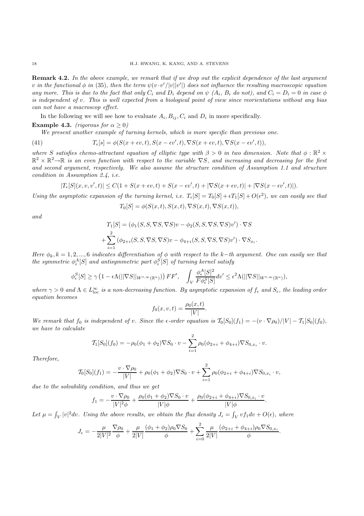**Remark 4.2.** *In the above example, we remark that if we drop out the explicit dependence of the last argument*  $v$  *in the functional*  $\phi$  *in* (35), then the term  $\psi(v \cdot v'/|v||v')$  does not influence the resulting macroscopic equation *any more. This is due to the fact that only*  $C_i$  *and*  $D_i$  *depend on*  $\psi$   $(A_i, B_i$  *do not*), and  $C_i = D_i = 0$  *in case*  $\phi$ *is independent of* v*. This is well expected from a biological point of view since reorientations without any bias can not have a macroscop effect.*

In the following we will see how to evaluate  $A_i, B_{ij}, C_i$  and  $D_i$  in more specifically.

**Example 4.3.** *(rigorous for*  $\alpha > 0$ )

*We present another example of turning kernels, which is more specific than previous one.*

(41) 
$$
T_{\epsilon}[s] = \phi(S(x+\epsilon v,t), S(x-\epsilon v',t), \nabla S(x+\epsilon v,t), \nabla S(x-\epsilon v',t)),
$$

*where* S satisfies chemo-attractant equation of elliptic type with  $\beta > 0$  in two dimension. Note that  $\phi : \mathbb{R}^2 \times$ R<sup>2</sup> × R2→R *is an even function with respect to the variable* ∇S*, and increasing and decreasing for the first and second argument, respectively. We also assume the structure condition of Assumption 1.1 and structure condition in Assumption 2.4, i.e.*

$$
|T_{\epsilon}[S](x,v,v',t)|\leq C(1+S(x+\epsilon v,t)+S(x-\epsilon v',t)+|\nabla S(x+\epsilon v,t)|+|\nabla S(x-\epsilon v',t)|).
$$

*Using the asymptotic expansion of the turning kernel, i.e.*  $T_{\epsilon}[S] = T_0[S] + \epsilon T_1[S] + O(\epsilon^2)$ *, we can easily see that*  $T[\mathcal{O}] = \frac{1}{\mathcal{O}} \left( \frac{S(n+1)}{S(n+1)} \sum_i \mathcal{O}(n+1) \sum_i \mathcal{O}(n+1) \right)$ 

$$
T_0[S] = \phi(S(x,t),S(x,t),\nabla S(x,t),\nabla S(x,t)),
$$

*and*

$$
T_1[S] = (\phi_1(S, S, \nabla S, \nabla S)v - \phi_2(S, S, \nabla S, \nabla S)v') \cdot \nabla S
$$

$$
+ \sum_{i=1}^2 (\phi_{2+i}(S, S, \nabla S, \nabla S)v - \phi_{4+i}(S, S, \nabla S, \nabla S)v') \cdot \nabla S_{x_i}.
$$

*Here*  $\phi_k$ ,  $k = 1, 2, ..., 6$  *indicates differentiation of*  $\phi$  *with respect to the* k−*th argument. One can easily see that the symmetric*  $\phi_{\epsilon}^{A}[S]$  *and antisymmetric part*  $\phi_{\epsilon}^{S}[S]$  *of turning kernel satisfy* 

$$
\phi_{\epsilon}^S[S] \geq \gamma \left(1 - \epsilon \Lambda(||\nabla S||_{W^{1,\infty}(\mathbb{R}^n)})\right) \mathit{FF}', \quad \int_V \frac{\phi_{\epsilon}^A[S]^2}{F \phi_{\epsilon}^S[S]} dv' \leq \epsilon^2 \Lambda(||\nabla S||_{W^{1,\infty}(\mathbb{R}^n)}),
$$

where  $\gamma > 0$  and  $\Lambda \in L^{\infty}_{loc}$  *is a non-decreasing function. By asymptotic expansion of*  $f_{\epsilon}$  and  $S_{\epsilon}$ , the leading order *equation becomes*

$$
f_0(x, v, t) = \frac{\rho_0(x, t)}{|V|}.
$$

*We remark that*  $f_0$  *is independent of* v*. Since the*  $\epsilon$ -order equation is  $\mathcal{T}_0[S_0](f_1) = -(v \cdot \nabla \rho_0)/|V| - \mathcal{T}_1[S_0](f_0)$ , *we have to calculate*

$$
\mathcal{T}_1[S_0](f_0) = -\rho_0(\phi_1 + \phi_2)\nabla S_0 \cdot v - \sum_{i=1}^2 \rho_0(\phi_{2+i} + \phi_{4+i})\nabla S_{0,x_i} \cdot v.
$$

*Therefore,*

$$
\mathcal{T}_0[S_0](f_1) = -\frac{v \cdot \nabla \rho_0}{|V|} + \rho_0(\phi_1 + \phi_2) \nabla S_0 \cdot v + \sum_{i=1}^2 \rho_0(\phi_{2+i} + \phi_{4+i}) \nabla S_{0,x_i} \cdot v,
$$

*due to the solvability condition, and thus we get*

$$
f_1 = -\frac{v \cdot \nabla \rho_0}{|V|^2 \phi} + \frac{\rho_0(\phi_1 + \phi_2) \nabla S_0 \cdot v}{|V| \phi} + \frac{\rho_0(\phi_{2+i} + \phi_{4+i}) \nabla S_{0,x_i} \cdot v}{|V| \phi}.
$$

Let  $\mu = \int_V |v|^2 dv$ . Using the above results, we obtain the flux density  $J_{\epsilon} = \int_V v f_1 dv + O(\epsilon)$ , where

$$
J_{\epsilon} = -\frac{\mu}{2|V|^2} \frac{\nabla \rho_0}{\phi} + \frac{\mu}{2|V|} \frac{(\phi_1 + \phi_2)\rho_0 \nabla S_0}{\phi} + \sum_{i=0}^2 \frac{\mu}{2|V|} \frac{(\phi_{2+i} + \phi_{4+i})\rho_0 \nabla S_{0, x_i}}{\phi}.
$$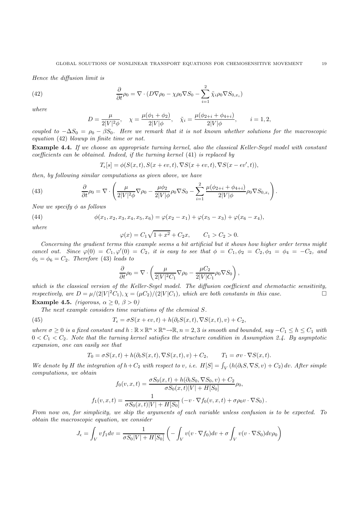*Hence the diffusion limit is*

(42) 
$$
\frac{\partial}{\partial t}\rho_0 = \nabla \cdot (D\nabla \rho_0 - \chi \rho_0 \nabla S_0 - \sum_{i=1}^2 \tilde{\chi}_i \rho_0 \nabla S_{0,x_i})
$$

*where*

$$
D = \frac{\mu}{2|V|^2 \phi}, \quad \chi = \frac{\mu(\phi_1 + \phi_2)}{2|V|\phi}, \quad \tilde{\chi}_i = \frac{\mu(\phi_{2+i} + \phi_{4+i})}{2|V|\phi}, \qquad i = 1, 2,
$$

*coupled to*  $-\Delta S_0 = \rho_0 - \beta S_0$ . Here we remark that it is not known whether solutions for the macroscopic *equation* (42) *blowup in finite time or not.*

**Example 4.4.** *If we choose an appropriate turning kernel, also the classical Keller-Segel model with constant coefficients can be obtained. Indeed, if the turning kernel* (41) *is replaced by*

$$
T_{\epsilon}[s] = \phi(S(x,t), S(x+\epsilon v,t), \nabla S(x+\epsilon v,t), \nabla S(x-\epsilon v',t)),
$$

*then, by following similar computations as given above, we have*

(43) 
$$
\frac{\partial}{\partial t}\rho_0 = \nabla \cdot \left( \frac{\mu}{2|V|^2 \phi} \nabla \rho_0 - \frac{\mu \phi_2}{2|V| \phi} \rho_0 \nabla S_0 - \sum_{i=1}^2 \frac{\mu(\phi_{2+i} + \phi_{4+i})}{2|V| \phi} \rho_0 \nabla S_{0,x_i} \right).
$$

*Now we specify* φ *as follows*

(44) 
$$
\phi(x_1, x_2, x_3, x_4, x_5, x_6) = \varphi(x_2 - x_1) + \varphi(x_5 - x_3) + \varphi(x_6 - x_4),
$$

*where*

$$
\varphi(x) = C_1 \sqrt{1 + x^2} + C_2 x, \qquad C_1 > C_2 > 0.
$$

*Concerning the gradient terms this example seems a bit artificial but it shows how higher order terms might cancel out.* Since  $\varphi(0) = C_1, \varphi'(0) = C_2$ , it is easy to see that  $\phi = C_1, \phi_2 = C_2, \phi_3 = \phi_4 = -C_2$ , and  $\phi_5 = \phi_6 = C_2$ . Therefore (43) *leads to* 

$$
\frac{\partial}{\partial t}\rho_0 = \nabla \cdot \left( \frac{\mu}{2|V|^2 C_1} \nabla \rho_0 - \frac{\mu C_2}{2|V| C_1} \rho_0 \nabla S_0 \right),\,
$$

*which is the classical version of the Keller-Segel model. The diffusion coefficient and chemotactic sensitivity, respectively, are*  $D = \mu/(2|V|^2C_1)$ ,  $\chi = (\mu C_2)/(2|V|C_1)$ , which are both constants in this case. **Example 4.5.** *(rigorous,*  $\alpha > 0$ ,  $\beta > 0$ )

*The next example considers time variations of the chemical* S*.*

(45) 
$$
T_{\epsilon} = \sigma S(x + \epsilon v, t) + h(\partial_t S(x, t), \nabla S(x, t), v) + C_2,
$$

*where*  $\sigma \geq 0$  *is a fixed constant and*  $h : \mathbb{R} \times \mathbb{R}^n \times \mathbb{R}^n \to \mathbb{R}$ ,  $n = 2, 3$  *is smooth and bounded, say*  $-C_1 \leq h \leq C_1$  *with*  $0 < C_1 < C_2$ . Note that the turning kernel satisfies the structure condition in Assumption 2.4. By asymptotic *expansion, one can easily see that*

$$
T_0 = \sigma S(x,t) + h(\partial_t S(x,t), \nabla S(x,t), v) + C_2, \qquad T_1 = \sigma v \cdot \nabla S(x,t).
$$

*We denote by* H the integration of  $h + C_2$  with respect to v, i.e.  $H[S] = \int_V (h(\partial_t S, \nabla S, v) + C_2) dv$ . After simple *computations, we obtain*

$$
f_0(v, x, t) = \frac{\sigma S_0(x, t) + h(\partial_t S_0, \nabla S_0, v) + C_2}{\sigma S_0(x, t)|V| + H[S_0]} \rho_0,
$$
  

$$
f_1(v, x, t) = \frac{1}{\sigma S_0(x, t)|V| + H[S_0]} \left( -v \cdot \nabla f_0(v, x, t) + \sigma \rho_0 v \cdot \nabla S_0 \right).
$$

*From now on, for simplicity, we skip the arguments of each variable unless confusion is to be expected. To obtain the macroscopic equation, we consider*

$$
J_{\epsilon} = \int_{V} vf_1 dv = \frac{1}{\sigma S_0 |V| + H[S_0]} \left( - \int_{V} v(v \cdot \nabla f_0) dv + \sigma \int_{V} v(v \cdot \nabla S_0) dv \rho_0 \right)
$$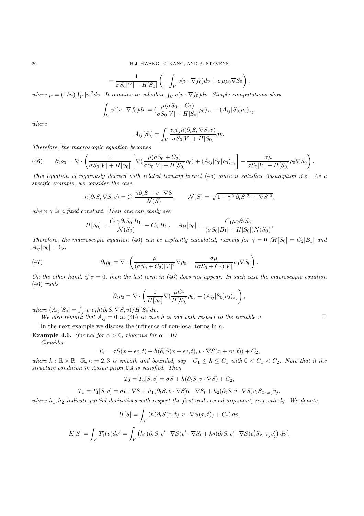$$
= \frac{1}{\sigma S_0|V| + H[S_0]} \left( - \int_V v(v \cdot \nabla f_0) dv + \sigma \mu \rho_0 \nabla S_0 \right),
$$

where  $\mu = (1/n) \int_V |v|^2 dv$ . It remains to calculate  $\int_V v(v \cdot \nabla f_0) dv$ . Simple computations show

$$
\int_{V} v^{i}(v \cdot \nabla f_{0}) dv = \left( \frac{\mu(\sigma S_{0} + C_{2})}{\sigma S_{0}|V| + H[S_{0}]} \rho_{0} \right)_{x_{i}} + (A_{ij}[S_{0}]\rho_{0})_{x_{j}},
$$

*where*

$$
A_{ij}[S_0] = \int_V \frac{v_i v_j h(\partial_t S, \nabla S, v)}{\sigma S_0|V| + H[S_0]} dv.
$$

*Therefore, the macroscopic equation becomes*

(46) 
$$
\partial_t \rho_0 = \nabla \cdot \left( \frac{1}{\sigma S_0 |V| + H[S_0]} \left[ \nabla \left( \frac{\mu(\sigma S_0 + C_2)}{\sigma S_0 |V| + H[S_0]} \rho_0 \right) + (A_{ij} [S_0] \rho_0)_{x_j} \right] - \frac{\sigma \mu}{\sigma S_0 |V| + H[S_0]} \rho_0 \nabla S_0 \right).
$$

*This equation is rigorously derived with related turning kernel* (45) *since it satisfies Assumption 3.2. As a specific example, we consider the case*

$$
h(\partial_t S, \nabla S, v) = C_1 \frac{\gamma \partial_t S + v \cdot \nabla S}{\mathcal{N}(S)}, \qquad \mathcal{N}(S) = \sqrt{1 + \gamma^2 |\partial_t S|^2 + |\nabla S|^2},
$$

*where*  $\gamma$  *is a fixed constant. Then one can easily see* 

$$
H[S_0] = \frac{C_1 \gamma \partial_t S_0 |B_1|}{\mathcal{N}(S_0)} + C_2 |B_1|, \quad A_{ij}[S_0] = \frac{C_1 \mu \gamma \partial_t S_0}{(\sigma S_0 |B_1| + H[S_0]) N(S_0)},
$$

*Therefore, the macroscopic equation* (46) *can be explicitly calculated, namely for*  $\gamma = 0$  ( $H[S_0] = C_2|B_1|$  *and*  $A_{ij}[S_0]=0.$ 

(47) 
$$
\partial_t \rho_0 = \nabla \cdot \left( \frac{\mu}{(\sigma S_0 + C_2)|V|^2} \nabla \rho_0 - \frac{\sigma \mu}{(\sigma S_0 + C_2)|V|} \rho_0 \nabla S_0 \right).
$$

*On the other hand, if*  $\sigma = 0$ *, then the last term in* (46) *does not appear. In such case the macroscopic equation* (46) *reads*

$$
\partial_t \rho_0 = \nabla \cdot \left( \frac{1}{H[S_0]} \nabla (\frac{\mu C_2}{H[S_0]} \rho_0) + (A_{ij}[S_0] \rho_0)_{x_j} \right),
$$

 $where \left(A_{ij}[S_0] = \int_V v_i v_j h(\partial_t S, \nabla S, v)/H[S_0]dv.\right]$ 

*We also remark that*  $A_{ij} = 0$  *in* (46) *in case h is odd with respect to the variable v.* 

In the next example we discuss the influence of non-local terms in  $h$ .

**Example 4.6.** *(formal for*  $\alpha > 0$ *, rigorous for*  $\alpha = 0$ *)* 

*Consider*

$$
T_{\epsilon} = \sigma S(x + \epsilon v, t) + h(\partial_t S(x + \epsilon v, t), v \cdot \nabla S(x + \epsilon v, t)) + C_2,
$$

*where*  $h : \mathbb{R} \times \mathbb{R} \to \mathbb{R}, n = 2, 3$  *is smooth and bounded, say*  $-C_1 \leq h \leq C_1$  *with*  $0 < C_1 < C_2$ *. Note that it the structure condition in Assumption 2.4 is satisfied. Then*

$$
T_0 = T_0[S, v] = \sigma S + h(\partial_t S, v \cdot \nabla S) + C_2,
$$

$$
T_1 = T_1[S, v] = \sigma v \cdot \nabla S + h_1(\partial_t S, v \cdot \nabla S)v \cdot \nabla S_t + h_2(\partial_t S, v \cdot \nabla S)v_i S_{x_i, x_j} v_j.
$$

*where*  $h_1, h_2$  *indicate partial derivatives with respect the first and second argument, respectively. We denote* 

$$
H[S] = \int_{V} (h(\partial_t S(x, t), v \cdot \nabla S(x, t)) + C_2) dv.
$$

$$
K[S] = \int_{V} T'_1(v) dv' = \int_{V} (h_1(\partial_t S, v' \cdot \nabla S)v' \cdot \nabla S_t + h_2(\partial_t S, v' \cdot \nabla S)v'_i S_{x_i, x_j} v'_j) dv',
$$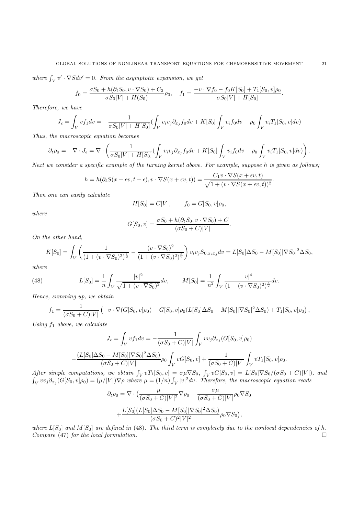where  $\int_V v' \cdot \nabla S dv' = 0$ . From the asymptotic expansion, we get

$$
f_0 = \frac{\sigma S_0 + h(\partial_t S_0, v \cdot \nabla S_0) + C_2}{\sigma S_0 |V| + H(S_0)} \rho_0, \quad f_1 = \frac{-v \cdot \nabla f_0 - f_0 K[S_0] + T_1[S_0, v] \rho_0}{\sigma S_0 |V| + H[S_0]}.
$$

*Therefore, we have*

$$
J_{\epsilon} = \int_{V} vf_{1} dv = -\frac{1}{\sigma S_{0}|V| + H[S_{0}]} \left( \int_{V} v_{i}v_{j} \partial_{x_{j}} f_{0} dv + K[S_{0}] \int_{V} v_{i} f_{0} dv - \rho_{0} \int_{V} v_{i} T_{1}[S_{0}, v] dv \right)
$$

*Thus, the macroscopic equation becomes*

$$
\partial_t \rho_0 = -\nabla \cdot J_{\epsilon} = \nabla \cdot \left( \frac{1}{\sigma S_0 |V| + H[S_0]} \left( \int_V v_i v_j \partial_{x_j} f_0 dv + K[S_0] \int_V v_i f_0 dv - \rho_0 \int_V v_i T_1[S_0, v] dv \right) \right).
$$

*Next we consider a specific example of the turning kernel above. For example, suppose* h *is given as follows;*

$$
h = h(\partial_t S(x + \epsilon v, t - \epsilon), v \cdot \nabla S(x + \epsilon v, t)) = \frac{C_1 v \cdot \nabla S(x + \epsilon v, t)}{\sqrt{1 + (v \cdot \nabla S(x + \epsilon v, t))^2}}.
$$

*Then one can easily calculate*

$$
H[S_0] = C|V|, \t f_0 = G[S_0, v]\rho_0,
$$

*where*

$$
G[S_0, v] = \frac{\sigma S_0 + h(\partial_t S_0, v \cdot \nabla S_0) + C}{(\sigma S_0 + C)|V|}.
$$

*On the other hand,*

$$
K[S_0] = \int_V \left( \frac{1}{(1 + (v \cdot \nabla S_0)^2)^{\frac{1}{2}}} - \frac{(v \cdot \nabla S_0)^2}{(1 + (v \cdot \nabla S_0)^2)^{\frac{3}{2}}} \right) v_i v_j S_{0, x_i x_j} dv = L[S_0] \Delta S_0 - M[S_0] |\nabla S_0|^2 \Delta S_0,
$$

*where*

(48) 
$$
L[S_0] = \frac{1}{n} \int_V \frac{|v|^2}{\sqrt{1 + (v \cdot \nabla S_0)^2}} dv, \qquad M[S_0] = \frac{1}{n^2} \int_V \frac{|v|^4}{(1 + (v \cdot \nabla S_0)^2)^{\frac{3}{2}}} dv.
$$

*Hence, summing up, we obtain*

$$
f_1 = \frac{1}{(\sigma S_0 + C)|V|} \left( -v \cdot \nabla (G[S_0, v]\rho_0) - G[S_0, v]\rho_0 (L[S_0] \Delta S_0 - M[S_0] |\nabla S_0|^2 \Delta S_0) + T_1[S_0, v]\rho_0 \right),
$$

*Using* f<sup>1</sup> *above, we calculate*

$$
J_{\epsilon} = \int_{V} vf_{1} dv = -\frac{1}{(\sigma S_{0} + C)|V|} \int_{V} vv_{j} \partial_{x_{j}} (G[S_{0}, v] \rho_{0})
$$

$$
-\frac{(L[S_{0}] \Delta S_{0} - M[S_{0}]|\nabla S_{0}|^{2} \Delta S_{0})}{(\sigma S_{0} + C)|V|} \rho_{0} \int_{V} vG[S_{0}, v] + \frac{1}{(\sigma S_{0} + C)|V|} \int_{V} vT_{1}[S_{0}, v] \rho_{0}.
$$

*After simple computations, we obtain*  $\int_V vT_1[S_0, v] = \sigma \mu \nabla S_0$ ,  $\int_V vG[S_0, v] = L[S_0] \nabla S_0/(\sigma S_0 + C)|V|$ , and  $\int_V v v_j \partial_{x_j} (G[S_0, v] \rho_0) = (\mu/|V|) \nabla \rho$  where  $\mu = (1/n) \int_V |v|^2 dv$ . Therefore, the macroscopic equation reads

$$
\partial_t \rho_0 = \nabla \cdot \left( \frac{\mu}{(\sigma S_0 + C)|V|^2} \nabla \rho_0 - \frac{\sigma \mu}{(\sigma S_0 + C)|V|} \rho_0 \nabla S_0 \right. \\
\left. + \frac{L[S_0](L[S_0] \Delta S_0 - M[S_0] |\nabla S_0|^2 \Delta S_0)}{(\sigma S_0 + C)^2 |V|^2} \rho_0 \nabla S_0 \right),
$$

*where*  $L[S_0]$  *and*  $M[S_0]$  *are defined in* (48)*. The third term is completely due to the nonlocal dependencies of h. Compare* (47) *for the local formulation.*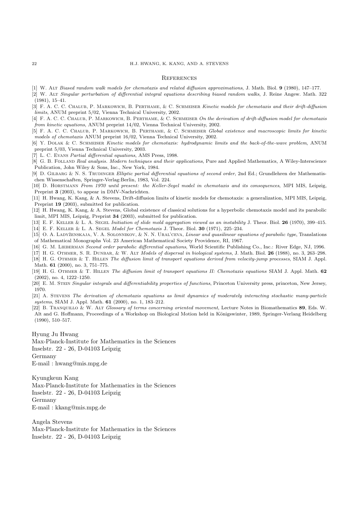#### **REFERENCES**

- [1] W. Alt Biased random walk models for chemotaxis and related diffusion approximations, J. Math. Biol. **9** (1980), 147–177.
- [2] W. Alt Singular perturbation of differential integral equations describing biased random walks, J. Reine Angew. Math. 322 (1981), 15–41.
- [3] F. A. C. C. CHALUB, P. MARKOWICH, B. PERTHAME, & C. SCHMEISER Kinetic models for chemotaxis and their drift-diffusion limits, ANUM preprint 5/02, Vienna Technical University, 2002.
- [4] F. A. C. C. CHALUB, P. MARKOWICH, B. PERTHAME, & C. SCHMEISER On the derivation of drift-diffusion model for chemotaxis from kinetic equations, ANUM preprint 14/02, Vienna Technical University, 2002.
- [5] F. A. C. C. Chalub, P. Markowich, B. Perthame, & C. Schmeiser Global existence and macroscopic limits for kinetic models of chemotaxis ANUM preprint 16/02, Vienna Technical University, 2002.
- [6] Y. Dolak & C. Schmeiser Kinetic models for chemotaxis: hydrodynamic limits and the back-of-the-wave problem, ANUM preprint 5/03, Vienna Technical University, 2003.
- [7] L. C. Evans Partial differential equations, AMS Press, 1998.
- [8] G. B. FOLLAND Real analysis. Modern techniques and their applications, Pure and Applied Mathematics, A Wiley-Interscience Publication, John Wiley & Sons, Inc., New York, 1984.
- [9] D. GILBARG & N. S. TRUDINGER Elliptic partial differential equations of second order, 2nd Ed.; Grundlehren der Mathematischen Wissenschaften, Springer-Verlag:Berlin, 1983, Vol. 224.
- [10] D. Horstmann From 1970 until present: the Keller-Segel model in chemotaxis and its consequences, MPI MIS, Leipzig, Preprint **3** (2003), to appear in DMV-Nachrichten.
- [11] H. Hwang, K. Kang, & A. Stevens, Drift-diffusion limits of kinetic models for chemotaxis: a generalization, MPI MIS, Leipzig, Preprint **19** (2003), submitted for publication.
- [12] H. Hwang, K. Kang, & A. Stevens, Global existence of classical solutions for a hyperbolic chemotaxis model and its parabolic limit, MPI MIS, Leipzig, Preprint **34** (2003), submitted for publication.
- [13] E. F. Keller & L. A. Segel Initiation of slide mold aggregation viewed as an instability J. Theor. Biol. **26** (1970), 399–415.
- [14] E. F. Keller & L. A. Segel Model for Chemotaxis J. Theor. Biol. **30** (1971), 225–234.
- [15] O. A. LADYŽENSKAJA, V. A. SOLONNIKOV, & N. N. URAL'CEVA, Linear and quasilinear equations of parabolic type, Translations of Mathematical Monographs Vol. 23 American Mathematical Society Providence, RI, 1967.
- [16] G. M. LIEBERMAN Second order parabolic differential equations, World Scientific Publishing Co., Inc.: River Edge, NJ, 1996.
- [17] H. G. Othmer, S. R. Dunbar, & W. Alt Models of dispersal in biological systems, J. Math. Biol. **26** (1988), no. 3, 263–298.
- [18] H. G. Othmer & T. Hillen The diffusion limit of transport equations derived from velocity-jump processes, SIAM J. Appl. Math. **61** (2000), no. 3, 751–775.
- [19] H. G. Othmer & T. Hillen The diffusion limit of transport equations II: Chemotaxis equations SIAM J. Appl. Math. **62** (2002), no. 4, 1222–1250.
- [20] E. M. STEIN Singular integrals and differentiability properties of functions, Princeton University press, princeton, New Jersey, 1970.
- [21] A. STEVENS The derivation of chemotaxis equations as limit dynamics of moderately interacting stochastic many-particle systems, SIAM J. Appl. Math. **61** (2000), no. 1, 183–212.
- [22] B. Tranquillo & W. Alt Glossary of terms concerning oriented movement, Lecture Notes in Biomathematics **89**, Eds. W. Alt and G. Hoffmann, Proceedings of a Workshop on Biological Motion held in Königswinter, 1989, Springer-Verlang Heidelberg (1990), 510–517.

Hyung Ju Hwang Max-Planck-Institute for Mathematics in the Sciences Inselstr. 22 - 26, D-04103 Leipzig Germany E-mail : hwang@mis.mpg.de

Kyungkeun Kang Max-Planck-Institute for Mathematics in the Sciences Inselstr. 22 - 26, D-04103 Leipzig Germany E-mail : kkang@mis.mpg.de

Angela Stevens Max-Planck-Institute for Mathematics in the Sciences Inselstr. 22 - 26, D-04103 Leipzig